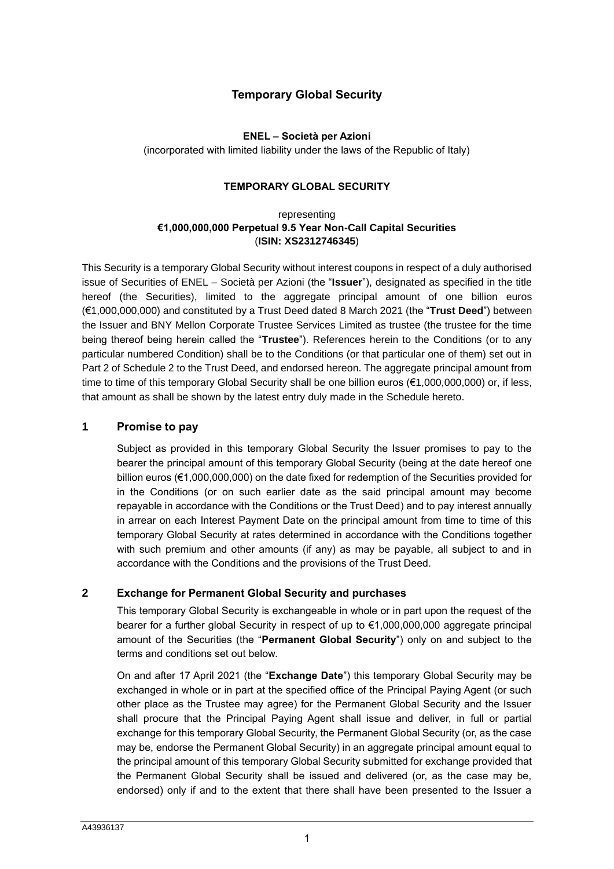# **Temporary Global Security**

# **ENEL – Società per Azioni**

(incorporated with limited liability under the laws of the Republic of Italy)

# **TEMPORARY GLOBAL SECURITY**

# representing **€1,000,000,000 Perpetual 9.5 Year Non-Call Capital Securities** (**ISIN: XS2312746345**)

This Security is a temporary Global Security without interest coupons in respect of a duly authorised issue of Securities of ENEL – Società per Azioni (the "**Issuer**"), designated as specified in the title hereof (the Securities), limited to the aggregate principal amount of one billion euros (€1,000,000,000) and constituted by a Trust Deed dated 8 March 2021 (the "**Trust Deed**") between the Issuer and BNY Mellon Corporate Trustee Services Limited as trustee (the trustee for the time being thereof being herein called the "**Trustee**"). References herein to the Conditions (or to any particular numbered Condition) shall be to the Conditions (or that particular one of them) set out in Part 2 of Schedule 2 to the Trust Deed, and endorsed hereon. The aggregate principal amount from time to time of this temporary Global Security shall be one billion euros (€1,000,000,000) or, if less, that amount as shall be shown by the latest entry duly made in the Schedule hereto.

# **1 Promise to pay**

Subject as provided in this temporary Global Security the Issuer promises to pay to the bearer the principal amount of this temporary Global Security (being at the date hereof one billion euros (€1,000,000,000) on the date fixed for redemption of the Securities provided for in the Conditions (or on such earlier date as the said principal amount may become repayable in accordance with the Conditions or the Trust Deed) and to pay interest annually in arrear on each Interest Payment Date on the principal amount from time to time of this temporary Global Security at rates determined in accordance with the Conditions together with such premium and other amounts (if any) as may be payable, all subject to and in accordance with the Conditions and the provisions of the Trust Deed.

# **2 Exchange for Permanent Global Security and purchases**

This temporary Global Security is exchangeable in whole or in part upon the request of the bearer for a further global Security in respect of up to €1,000,000,000 aggregate principal amount of the Securities (the "**Permanent Global Security**") only on and subject to the terms and conditions set out below.

On and after 17 April 2021 (the "**Exchange Date**") this temporary Global Security may be exchanged in whole or in part at the specified office of the Principal Paying Agent (or such other place as the Trustee may agree) for the Permanent Global Security and the Issuer shall procure that the Principal Paying Agent shall issue and deliver, in full or partial exchange for this temporary Global Security, the Permanent Global Security (or, as the case may be, endorse the Permanent Global Security) in an aggregate principal amount equal to the principal amount of this temporary Global Security submitted for exchange provided that the Permanent Global Security shall be issued and delivered (or, as the case may be, endorsed) only if and to the extent that there shall have been presented to the Issuer a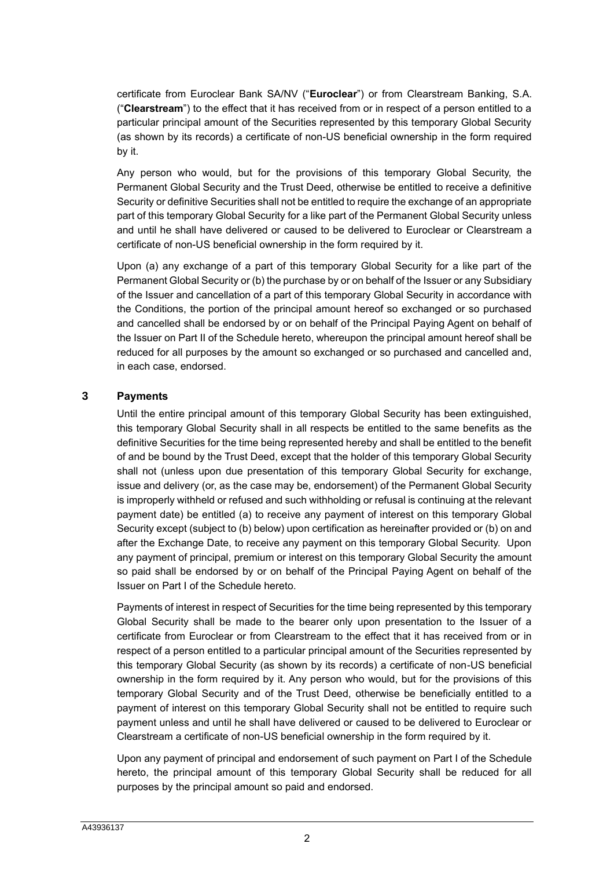certificate from Euroclear Bank SA/NV ("**Euroclear**") or from Clearstream Banking, S.A. ("**Clearstream**") to the effect that it has received from or in respect of a person entitled to a particular principal amount of the Securities represented by this temporary Global Security (as shown by its records) a certificate of non-US beneficial ownership in the form required by it.

Any person who would, but for the provisions of this temporary Global Security, the Permanent Global Security and the Trust Deed, otherwise be entitled to receive a definitive Security or definitive Securities shall not be entitled to require the exchange of an appropriate part of this temporary Global Security for a like part of the Permanent Global Security unless and until he shall have delivered or caused to be delivered to Euroclear or Clearstream a certificate of non-US beneficial ownership in the form required by it.

Upon (a) any exchange of a part of this temporary Global Security for a like part of the Permanent Global Security or (b) the purchase by or on behalf of the Issuer or any Subsidiary of the Issuer and cancellation of a part of this temporary Global Security in accordance with the Conditions, the portion of the principal amount hereof so exchanged or so purchased and cancelled shall be endorsed by or on behalf of the Principal Paying Agent on behalf of the Issuer on [Part II](#page-7-0) of the Schedule hereto, whereupon the principal amount hereof shall be reduced for all purposes by the amount so exchanged or so purchased and cancelled and, in each case, endorsed.

# **3 Payments**

Until the entire principal amount of this temporary Global Security has been extinguished, this temporary Global Security shall in all respects be entitled to the same benefits as the definitive Securities for the time being represented hereby and shall be entitled to the benefit of and be bound by the Trust Deed, except that the holder of this temporary Global Security shall not (unless upon due presentation of this temporary Global Security for exchange, issue and delivery (or, as the case may be, endorsement) of the Permanent Global Security is improperly withheld or refused and such withholding or refusal is continuing at the relevant payment date) be entitled (a) to receive any payment of interest on this temporary Global Security except (subject to (b) below) upon certification as hereinafter provided or (b) on and after the Exchange Date, to receive any payment on this temporary Global Security. Upon any payment of principal, premium or interest on this temporary Global Security the amount so paid shall be endorsed by or on behalf of the Principal Paying Agent on behalf of the Issuer on [Part I](#page-6-0) of the Schedule hereto.

Payments of interest in respect of Securities for the time being represented by this temporary Global Security shall be made to the bearer only upon presentation to the Issuer of a certificate from Euroclear or from Clearstream to the effect that it has received from or in respect of a person entitled to a particular principal amount of the Securities represented by this temporary Global Security (as shown by its records) a certificate of non-US beneficial ownership in the form required by it. Any person who would, but for the provisions of this temporary Global Security and of the Trust Deed, otherwise be beneficially entitled to a payment of interest on this temporary Global Security shall not be entitled to require such payment unless and until he shall have delivered or caused to be delivered to Euroclear or Clearstream a certificate of non-US beneficial ownership in the form required by it.

Upon any payment of principal and endorsement of such payment on [Part I](#page-6-0) of the Schedule hereto, the principal amount of this temporary Global Security shall be reduced for all purposes by the principal amount so paid and endorsed.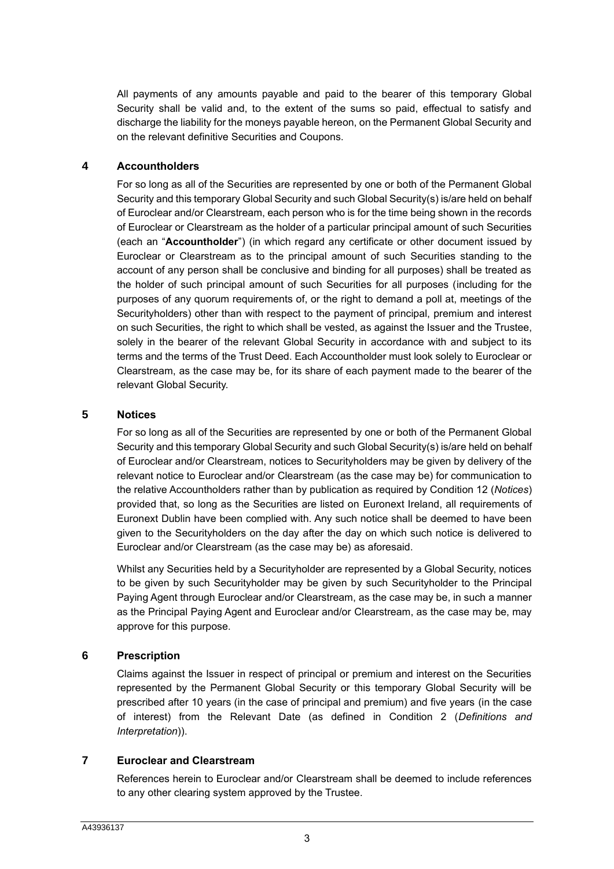All payments of any amounts payable and paid to the bearer of this temporary Global Security shall be valid and, to the extent of the sums so paid, effectual to satisfy and discharge the liability for the moneys payable hereon, on the Permanent Global Security and on the relevant definitive Securities and Coupons.

# **4 Accountholders**

For so long as all of the Securities are represented by one or both of the Permanent Global Security and this temporary Global Security and such Global Security(s) is/are held on behalf of Euroclear and/or Clearstream, each person who is for the time being shown in the records of Euroclear or Clearstream as the holder of a particular principal amount of such Securities (each an "**Accountholder**") (in which regard any certificate or other document issued by Euroclear or Clearstream as to the principal amount of such Securities standing to the account of any person shall be conclusive and binding for all purposes) shall be treated as the holder of such principal amount of such Securities for all purposes (including for the purposes of any quorum requirements of, or the right to demand a poll at, meetings of the Securityholders) other than with respect to the payment of principal, premium and interest on such Securities, the right to which shall be vested, as against the Issuer and the Trustee, solely in the bearer of the relevant Global Security in accordance with and subject to its terms and the terms of the Trust Deed. Each Accountholder must look solely to Euroclear or Clearstream, as the case may be, for its share of each payment made to the bearer of the relevant Global Security.

# **5 Notices**

For so long as all of the Securities are represented by one or both of the Permanent Global Security and this temporary Global Security and such Global Security(s) is/are held on behalf of Euroclear and/or Clearstream, notices to Securityholders may be given by delivery of the relevant notice to Euroclear and/or Clearstream (as the case may be) for communication to the relative Accountholders rather than by publication as required by Condition 12 (*Notices*) provided that, so long as the Securities are listed on Euronext Ireland, all requirements of Euronext Dublin have been complied with. Any such notice shall be deemed to have been given to the Securityholders on the day after the day on which such notice is delivered to Euroclear and/or Clearstream (as the case may be) as aforesaid.

Whilst any Securities held by a Securityholder are represented by a Global Security, notices to be given by such Securityholder may be given by such Securityholder to the Principal Paying Agent through Euroclear and/or Clearstream, as the case may be, in such a manner as the Principal Paying Agent and Euroclear and/or Clearstream, as the case may be, may approve for this purpose.

# **6 Prescription**

Claims against the Issuer in respect of principal or premium and interest on the Securities represented by the Permanent Global Security or this temporary Global Security will be prescribed after 10 years (in the case of principal and premium) and five years (in the case of interest) from the Relevant Date (as defined in Condition 2 (*Definitions and Interpretation*)).

# **7 Euroclear and Clearstream**

References herein to Euroclear and/or Clearstream shall be deemed to include references to any other clearing system approved by the Trustee.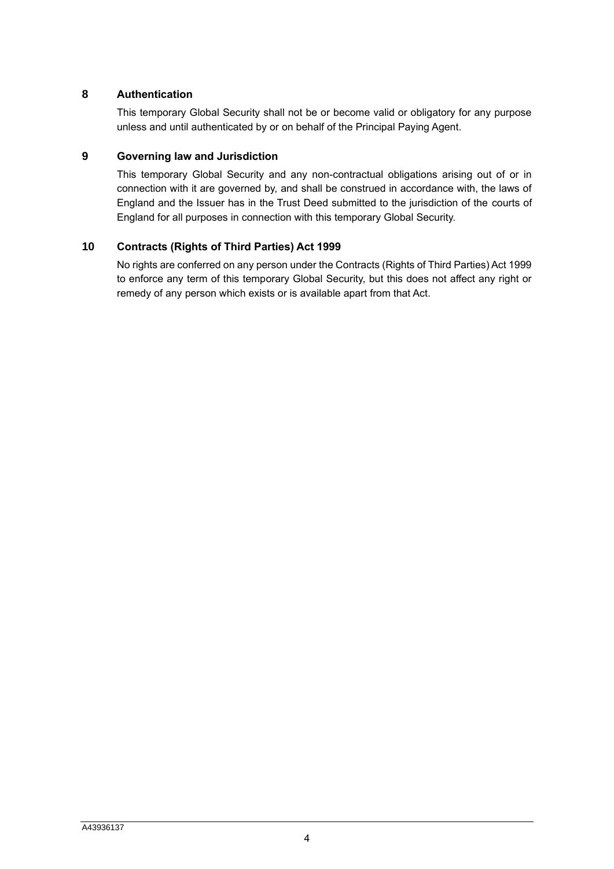# **8 Authentication**

This temporary Global Security shall not be or become valid or obligatory for any purpose unless and until authenticated by or on behalf of the Principal Paying Agent.

# **9 Governing law and Jurisdiction**

This temporary Global Security and any non-contractual obligations arising out of or in connection with it are governed by, and shall be construed in accordance with, the laws of England and the Issuer has in the Trust Deed submitted to the jurisdiction of the courts of England for all purposes in connection with this temporary Global Security.

# **10 Contracts (Rights of Third Parties) Act 1999**

No rights are conferred on any person under the Contracts (Rights of Third Parties) Act 1999 to enforce any term of this temporary Global Security, but this does not affect any right or remedy of any person which exists or is available apart from that Act.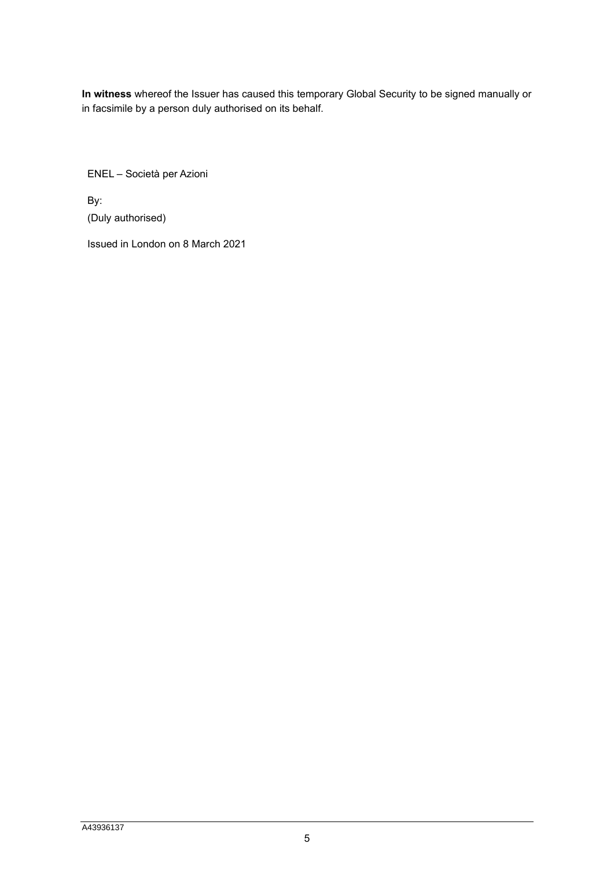**In witness** whereof the Issuer has caused this temporary Global Security to be signed manually or in facsimile by a person duly authorised on its behalf.

ENEL – Società per Azioni

By: (Duly authorised)

Issued in London on 8 March 2021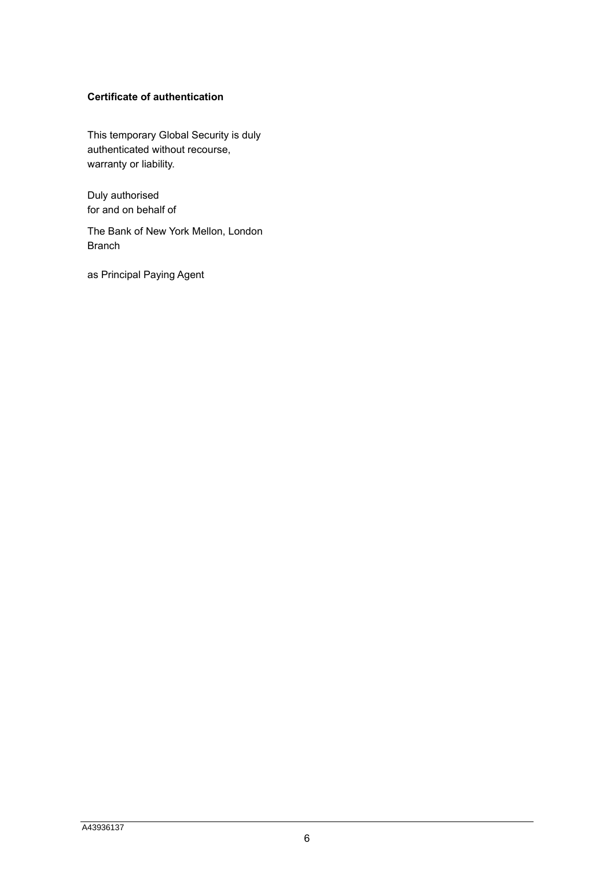# **Certificate of authentication**

This temporary Global Security is duly authenticated without recourse, warranty or liability.

Duly authorised for and on behalf of

The Bank of New York Mellon, London Branch

as Principal Paying Agent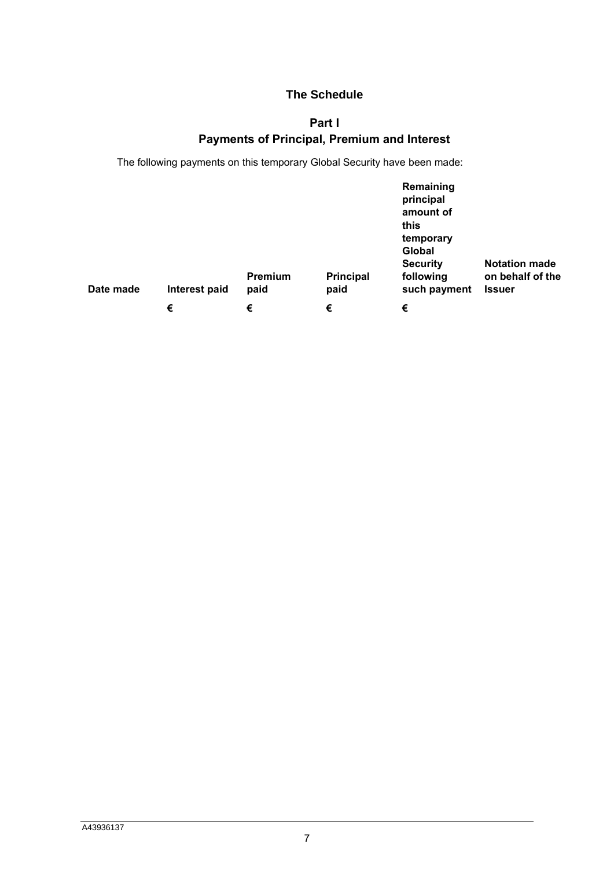# **The Schedule**

# **Part I**

# **Payments of Principal, Premium and Interest**

<span id="page-6-0"></span>The following payments on this temporary Global Security have been made:

| Date made | Interest paid | Premium<br>paid | <b>Principal</b><br>paid | Remaining<br>principal<br>amount of<br>this<br>temporary<br>Global<br><b>Security</b><br>following<br>such payment | <b>Notation made</b><br>on behalf of the<br><b>Issuer</b> |
|-----------|---------------|-----------------|--------------------------|--------------------------------------------------------------------------------------------------------------------|-----------------------------------------------------------|
|           | €             | €               | €                        | €                                                                                                                  |                                                           |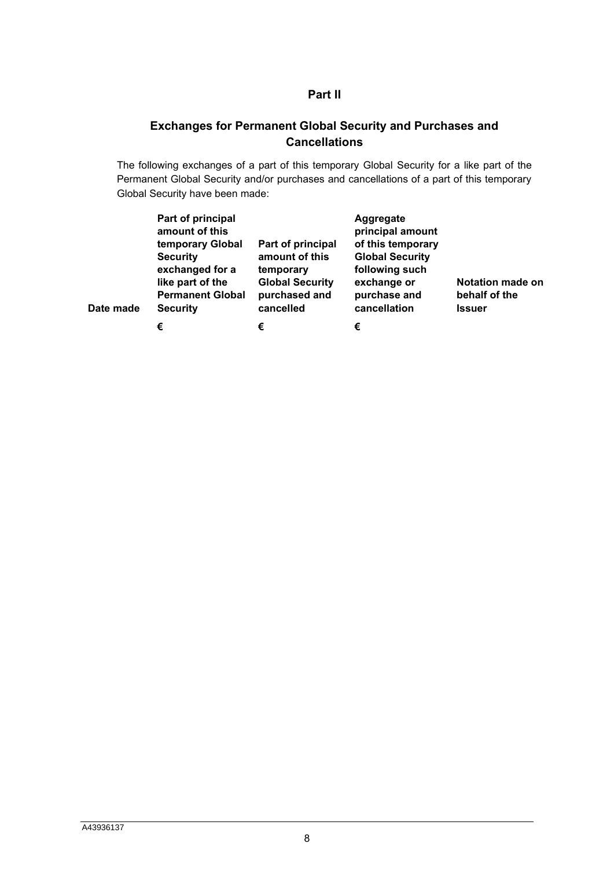# **Part II**

# <span id="page-7-0"></span>**Exchanges for Permanent Global Security and Purchases and Cancellations**

The following exchanges of a part of this temporary Global Security for a like part of the Permanent Global Security and/or purchases and cancellations of a part of this temporary Global Security have been made:

| Date made | Part of principal<br>amount of this<br>temporary Global<br><b>Security</b><br>exchanged for a<br>like part of the<br><b>Permanent Global</b><br><b>Security</b> | Part of principal<br>amount of this<br>temporary<br><b>Global Security</b><br>purchased and<br>cancelled | Aggregate<br>principal amount<br>of this temporary<br><b>Global Security</b><br>following such<br>exchange or<br>purchase and<br>cancellation | <b>Notation made on</b><br>behalf of the<br><b>Issuer</b> |
|-----------|-----------------------------------------------------------------------------------------------------------------------------------------------------------------|----------------------------------------------------------------------------------------------------------|-----------------------------------------------------------------------------------------------------------------------------------------------|-----------------------------------------------------------|
|           | €                                                                                                                                                               | €                                                                                                        | €                                                                                                                                             |                                                           |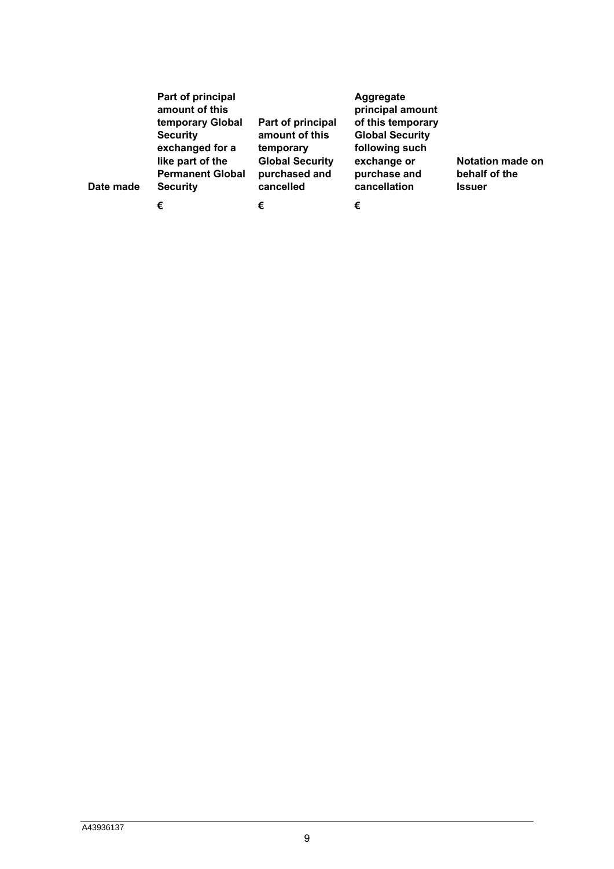| Date made | Part of principal<br>amount of this<br>temporary Global<br><b>Security</b><br>exchanged for a<br>like part of the<br><b>Permanent Global</b><br><b>Security</b> | Part of principal<br>amount of this<br>temporary<br><b>Global Security</b><br>purchased and<br>cancelled | Aggregate<br>principal amount<br>of this temporary<br><b>Global Security</b><br>following such<br>exchange or<br>purchase and<br>cancellation | Notation made on<br>behalf of the<br><b>Issuer</b> |
|-----------|-----------------------------------------------------------------------------------------------------------------------------------------------------------------|----------------------------------------------------------------------------------------------------------|-----------------------------------------------------------------------------------------------------------------------------------------------|----------------------------------------------------|
|           | €                                                                                                                                                               | €                                                                                                        | €                                                                                                                                             |                                                    |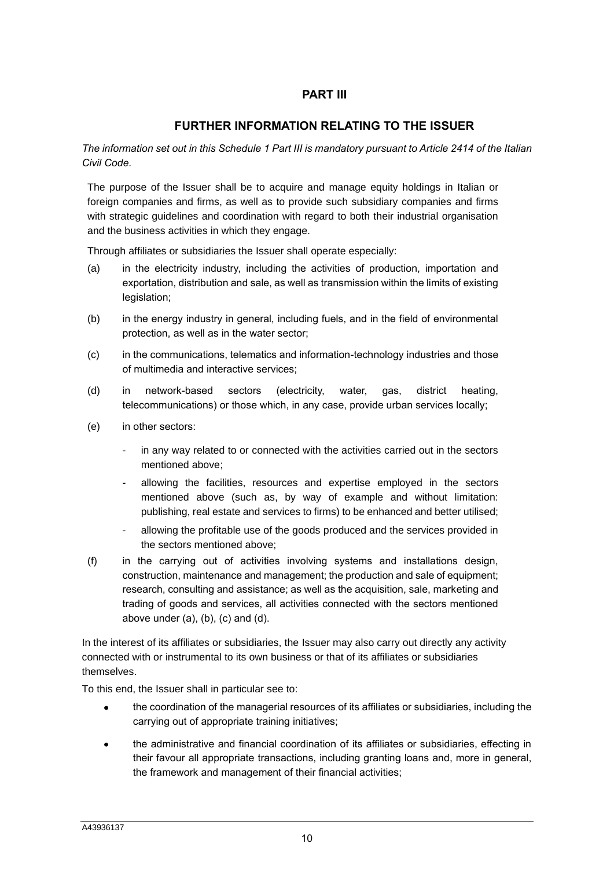# **PART III**

# **FURTHER INFORMATION RELATING TO THE ISSUER**

*The information set out in this Schedule 1 Part III is mandatory pursuant to Article 2414 of the Italian Civil Code.*

The purpose of the Issuer shall be to acquire and manage equity holdings in Italian or foreign companies and firms, as well as to provide such subsidiary companies and firms with strategic guidelines and coordination with regard to both their industrial organisation and the business activities in which they engage.

Through affiliates or subsidiaries the Issuer shall operate especially:

- (a) in the electricity industry, including the activities of production, importation and exportation, distribution and sale, as well as transmission within the limits of existing legislation;
- (b) in the energy industry in general, including fuels, and in the field of environmental protection, as well as in the water sector;
- (c) in the communications, telematics and information-technology industries and those of multimedia and interactive services;
- (d) in network-based sectors (electricity, water, gas, district heating, telecommunications) or those which, in any case, provide urban services locally;
- (e) in other sectors:
	- in any way related to or connected with the activities carried out in the sectors mentioned above;
	- allowing the facilities, resources and expertise employed in the sectors mentioned above (such as, by way of example and without limitation: publishing, real estate and services to firms) to be enhanced and better utilised;
	- allowing the profitable use of the goods produced and the services provided in the sectors mentioned above;
- (f) in the carrying out of activities involving systems and installations design, construction, maintenance and management; the production and sale of equipment; research, consulting and assistance; as well as the acquisition, sale, marketing and trading of goods and services, all activities connected with the sectors mentioned above under  $(a)$ ,  $(b)$ ,  $(c)$  and  $(d)$ .

In the interest of its affiliates or subsidiaries, the Issuer may also carry out directly any activity connected with or instrumental to its own business or that of its affiliates or subsidiaries themselves.

To this end, the Issuer shall in particular see to:

- the coordination of the managerial resources of its affiliates or subsidiaries, including the carrying out of appropriate training initiatives;
- the administrative and financial coordination of its affiliates or subsidiaries, effecting in their favour all appropriate transactions, including granting loans and, more in general, the framework and management of their financial activities;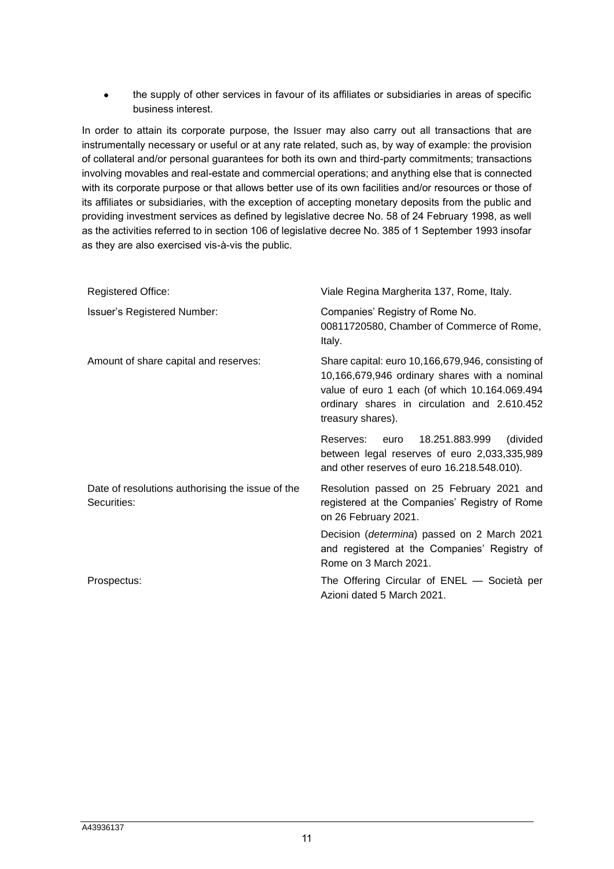• the supply of other services in favour of its affiliates or subsidiaries in areas of specific business interest.

In order to attain its corporate purpose, the Issuer may also carry out all transactions that are instrumentally necessary or useful or at any rate related, such as, by way of example: the provision of collateral and/or personal guarantees for both its own and third-party commitments; transactions involving movables and real-estate and commercial operations; and anything else that is connected with its corporate purpose or that allows better use of its own facilities and/or resources or those of its affiliates or subsidiaries, with the exception of accepting monetary deposits from the public and providing investment services as defined by legislative decree No. 58 of 24 February 1998, as well as the activities referred to in section 106 of legislative decree No. 385 of 1 September 1993 insofar as they are also exercised vis-à-vis the public.

| <b>Registered Office:</b>                                       | Viale Regina Margherita 137, Rome, Italy.                                                                                                                                                                                |  |  |
|-----------------------------------------------------------------|--------------------------------------------------------------------------------------------------------------------------------------------------------------------------------------------------------------------------|--|--|
| <b>Issuer's Registered Number:</b>                              | Companies' Registry of Rome No.<br>00811720580, Chamber of Commerce of Rome,<br>Italy.                                                                                                                                   |  |  |
| Amount of share capital and reserves:                           | Share capital: euro 10,166,679,946, consisting of<br>10,166,679,946 ordinary shares with a nominal<br>value of euro 1 each (of which 10.164.069.494<br>ordinary shares in circulation and 2.610.452<br>treasury shares). |  |  |
|                                                                 | 18.251.883.999<br>(divided<br>Reserves: euro<br>between legal reserves of euro 2,033,335,989<br>and other reserves of euro 16.218.548.010).                                                                              |  |  |
| Date of resolutions authorising the issue of the<br>Securities: | Resolution passed on 25 February 2021 and<br>registered at the Companies' Registry of Rome<br>on 26 February 2021.                                                                                                       |  |  |
|                                                                 | Decision ( <i>determina</i> ) passed on 2 March 2021<br>and registered at the Companies' Registry of<br>Rome on 3 March 2021.                                                                                            |  |  |
| Prospectus:                                                     | The Offering Circular of ENEL — Società per<br>Azioni dated 5 March 2021.                                                                                                                                                |  |  |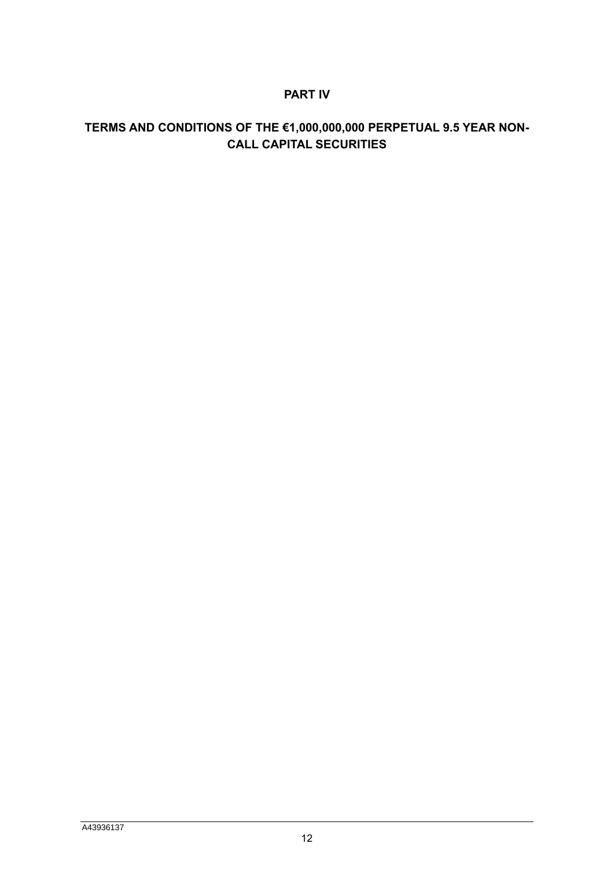# **PART IV**

# **TERMS AND CONDITIONS OF THE €1,000,000,000 PERPETUAL 9.5 YEAR NON-CALL CAPITAL SECURITIES**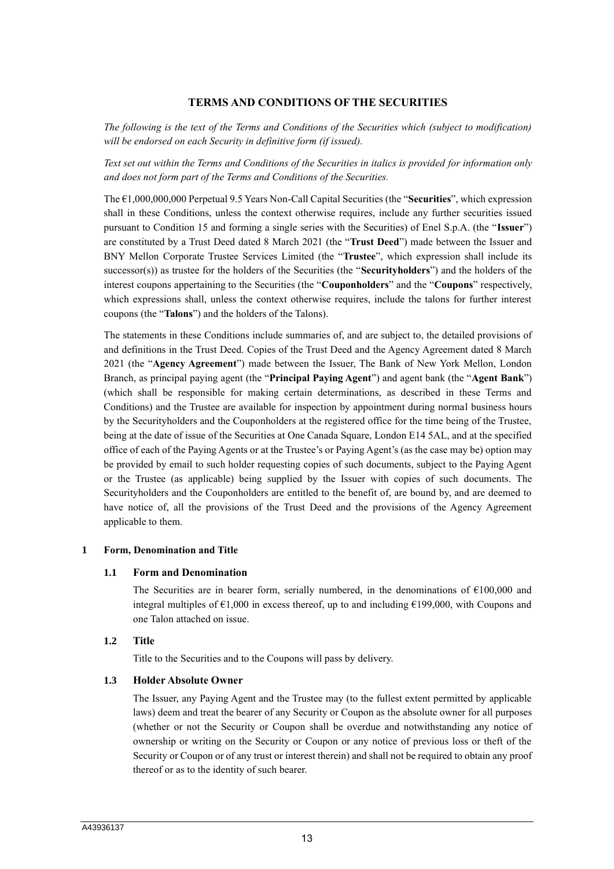# **TERMS AND CONDITIONS OF THE SECURITIES**

*The following is the text of the Terms and Conditions of the Securities which (subject to modification) will be endorsed on each Security in definitive form (if issued).* 

*Text set out within the Terms and Conditions of the Securities in italics is provided for information only and does not form part of the Terms and Conditions of the Securities.*

The €1,000,000,000 Perpetual 9.5 Years Non-Call Capital Securities (the "**Securities**", which expression shall in these Conditions, unless the context otherwise requires, include any further securities issued pursuant to Condition 15 and forming a single series with the Securities) of Enel S.p.A. (the "**Issuer**") are constituted by a Trust Deed dated 8 March 2021 (the "**Trust Deed**") made between the Issuer and BNY Mellon Corporate Trustee Services Limited (the "**Trustee**", which expression shall include its successor(s)) as trustee for the holders of the Securities (the "**Securityholders**") and the holders of the interest coupons appertaining to the Securities (the "**Couponholders**" and the "**Coupons**" respectively, which expressions shall, unless the context otherwise requires, include the talons for further interest coupons (the "**Talons**") and the holders of the Talons).

The statements in these Conditions include summaries of, and are subject to, the detailed provisions of and definitions in the Trust Deed. Copies of the Trust Deed and the Agency Agreement dated 8 March 2021 (the "**Agency Agreement**") made between the Issuer, The Bank of New York Mellon, London Branch, as principal paying agent (the "**Principal Paying Agent**") and agent bank (the "**Agent Bank**") (which shall be responsible for making certain determinations, as described in these Terms and Conditions) and the Trustee are available for inspection by appointment during normal business hours by the Securityholders and the Couponholders at the registered office for the time being of the Trustee, being at the date of issue of the Securities at One Canada Square, London E14 5AL, and at the specified office of each of the Paying Agents or at the Trustee's or Paying Agent's (as the case may be) option may be provided by email to such holder requesting copies of such documents, subject to the Paying Agent or the Trustee (as applicable) being supplied by the Issuer with copies of such documents. The Securityholders and the Couponholders are entitled to the benefit of, are bound by, and are deemed to have notice of, all the provisions of the Trust Deed and the provisions of the Agency Agreement applicable to them.

#### **1 Form, Denomination and Title**

#### **1.1 Form and Denomination**

The Securities are in bearer form, serially numbered, in the denominations of  $\epsilon$ 100,000 and integral multiples of  $\epsilon$ 1,000 in excess thereof, up to and including  $\epsilon$ 199,000, with Coupons and one Talon attached on issue.

#### **1.2 Title**

Title to the Securities and to the Coupons will pass by delivery.

#### **1.3 Holder Absolute Owner**

The Issuer, any Paying Agent and the Trustee may (to the fullest extent permitted by applicable laws) deem and treat the bearer of any Security or Coupon as the absolute owner for all purposes (whether or not the Security or Coupon shall be overdue and notwithstanding any notice of ownership or writing on the Security or Coupon or any notice of previous loss or theft of the Security or Coupon or of any trust or interest therein) and shall not be required to obtain any proof thereof or as to the identity of such bearer.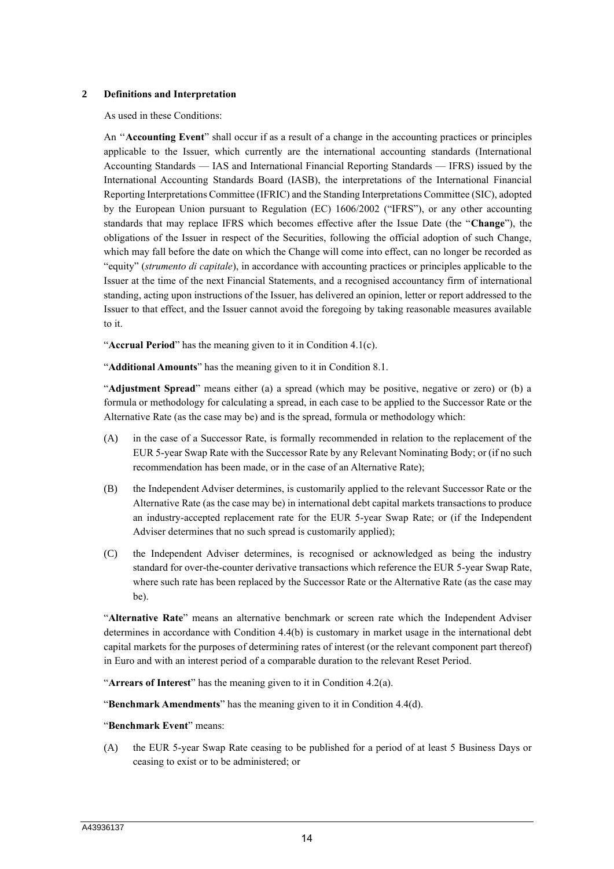#### **2 Definitions and Interpretation**

As used in these Conditions:

An ''**Accounting Event**" shall occur if as a result of a change in the accounting practices or principles applicable to the Issuer, which currently are the international accounting standards (International Accounting Standards — IAS and International Financial Reporting Standards — IFRS) issued by the International Accounting Standards Board (IASB), the interpretations of the International Financial Reporting Interpretations Committee (IFRIC) and the Standing Interpretations Committee (SIC), adopted by the European Union pursuant to Regulation (EC) 1606/2002 ("IFRS"), or any other accounting standards that may replace IFRS which becomes effective after the Issue Date (the "**Change**"), the obligations of the Issuer in respect of the Securities, following the official adoption of such Change, which may fall before the date on which the Change will come into effect, can no longer be recorded as "equity" (*strumento di capitale*), in accordance with accounting practices or principles applicable to the Issuer at the time of the next Financial Statements, and a recognised accountancy firm of international standing, acting upon instructions of the Issuer, has delivered an opinion, letter or report addressed to the Issuer to that effect, and the Issuer cannot avoid the foregoing by taking reasonable measures available to it.

"**Accrual Period**" has the meaning given to it in Condition 4.1(c).

"**Additional Amounts**" has the meaning given to it in Condition 8.1.

"**Adjustment Spread**" means either (a) a spread (which may be positive, negative or zero) or (b) a formula or methodology for calculating a spread, in each case to be applied to the Successor Rate or the Alternative Rate (as the case may be) and is the spread, formula or methodology which:

- (A) in the case of a Successor Rate, is formally recommended in relation to the replacement of the EUR 5-year Swap Rate with the Successor Rate by any Relevant Nominating Body; or (if no such recommendation has been made, or in the case of an Alternative Rate);
- (B) the Independent Adviser determines, is customarily applied to the relevant Successor Rate or the Alternative Rate (as the case may be) in international debt capital markets transactions to produce an industry-accepted replacement rate for the EUR 5-year Swap Rate; or (if the Independent Adviser determines that no such spread is customarily applied);
- (C) the Independent Adviser determines, is recognised or acknowledged as being the industry standard for over-the-counter derivative transactions which reference the EUR 5-year Swap Rate, where such rate has been replaced by the Successor Rate or the Alternative Rate (as the case may be).

"**Alternative Rate**" means an alternative benchmark or screen rate which the Independent Adviser determines in accordance with Condition 4.4(b) is customary in market usage in the international debt capital markets for the purposes of determining rates of interest (or the relevant component part thereof) in Euro and with an interest period of a comparable duration to the relevant Reset Period.

"**Arrears of Interest**" has the meaning given to it in Condition 4.2(a).

"**Benchmark Amendments**" has the meaning given to it in Condition 4.4(d).

#### "**Benchmark Event**" means:

(A) the EUR 5-year Swap Rate ceasing to be published for a period of at least 5 Business Days or ceasing to exist or to be administered; or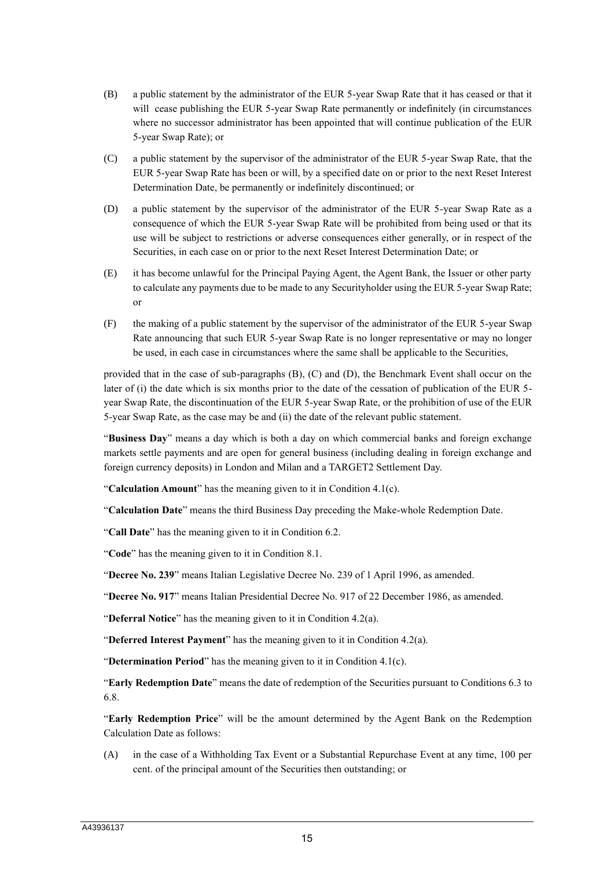- (B) a public statement by the administrator of the EUR 5-year Swap Rate that it has ceased or that it will cease publishing the EUR 5-year Swap Rate permanently or indefinitely (in circumstances where no successor administrator has been appointed that will continue publication of the EUR 5-year Swap Rate); or
- (C) a public statement by the supervisor of the administrator of the EUR 5-year Swap Rate, that the EUR 5-year Swap Rate has been or will, by a specified date on or prior to the next Reset Interest Determination Date, be permanently or indefinitely discontinued; or
- (D) a public statement by the supervisor of the administrator of the EUR 5-year Swap Rate as a consequence of which the EUR 5-year Swap Rate will be prohibited from being used or that its use will be subject to restrictions or adverse consequences either generally, or in respect of the Securities, in each case on or prior to the next Reset Interest Determination Date; or
- (E) it has become unlawful for the Principal Paying Agent, the Agent Bank, the Issuer or other party to calculate any payments due to be made to any Securityholder using the EUR 5-year Swap Rate; or
- (F) the making of a public statement by the supervisor of the administrator of the EUR 5-year Swap Rate announcing that such EUR 5-year Swap Rate is no longer representative or may no longer be used, in each case in circumstances where the same shall be applicable to the Securities,

provided that in the case of sub-paragraphs (B), (C) and (D), the Benchmark Event shall occur on the later of (i) the date which is six months prior to the date of the cessation of publication of the EUR 5year Swap Rate, the discontinuation of the EUR 5-year Swap Rate, or the prohibition of use of the EUR 5-year Swap Rate, as the case may be and (ii) the date of the relevant public statement.

"**Business Day**" means a day which is both a day on which commercial banks and foreign exchange markets settle payments and are open for general business (including dealing in foreign exchange and foreign currency deposits) in London and Milan and a TARGET2 Settlement Day.

"**Calculation Amount**" has the meaning given to it in Condition 4.1(c).

"**Calculation Date**" means the third Business Day preceding the Make-whole Redemption Date.

"**Call Date**" has the meaning given to it in Condition 6.2.

"**Code**" has the meaning given to it in Condition 8.1.

"**Decree No. 239**" means Italian Legislative Decree No. 239 of 1 April 1996, as amended.

"**Decree No. 917**" means Italian Presidential Decree No. 917 of 22 December 1986, as amended.

"**Deferral Notice**" has the meaning given to it in Condition 4.2(a).

"**Deferred Interest Payment**" has the meaning given to it in Condition 4.2(a).

"**Determination Period**" has the meaning given to it in Condition 4.1(c).

"**Early Redemption Date**" means the date of redemption of the Securities pursuant to Conditions 6.3 to 6.8.

"**Early Redemption Price**" will be the amount determined by the Agent Bank on the Redemption Calculation Date as follows:

(A) in the case of a Withholding Tax Event or a Substantial Repurchase Event at any time, 100 per cent. of the principal amount of the Securities then outstanding; or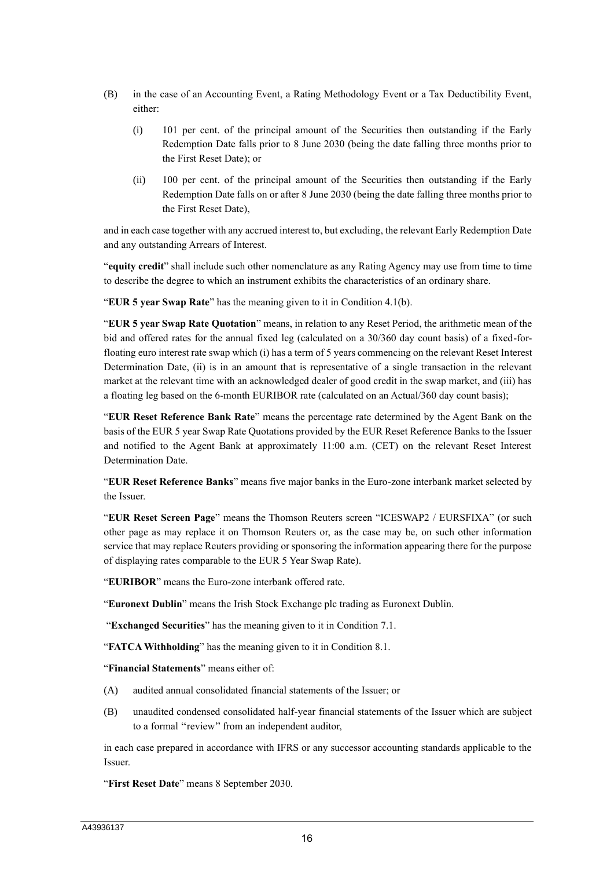- (B) in the case of an Accounting Event, a Rating Methodology Event or a Tax Deductibility Event, either:
	- (i) 101 per cent. of the principal amount of the Securities then outstanding if the Early Redemption Date falls prior to 8 June 2030 (being the date falling three months prior to the First Reset Date); or
	- (ii) 100 per cent. of the principal amount of the Securities then outstanding if the Early Redemption Date falls on or after 8 June 2030 (being the date falling three months prior to the First Reset Date),

and in each case together with any accrued interest to, but excluding, the relevant Early Redemption Date and any outstanding Arrears of Interest.

"**equity credit**" shall include such other nomenclature as any Rating Agency may use from time to time to describe the degree to which an instrument exhibits the characteristics of an ordinary share.

"**EUR 5 year Swap Rate**" has the meaning given to it in Condition 4.1(b).

"**EUR 5 year Swap Rate Quotation**" means, in relation to any Reset Period, the arithmetic mean of the bid and offered rates for the annual fixed leg (calculated on a 30/360 day count basis) of a fixed-forfloating euro interest rate swap which (i) has a term of 5 years commencing on the relevant Reset Interest Determination Date, (ii) is in an amount that is representative of a single transaction in the relevant market at the relevant time with an acknowledged dealer of good credit in the swap market, and (iii) has a floating leg based on the 6-month EURIBOR rate (calculated on an Actual/360 day count basis);

"**EUR Reset Reference Bank Rate**" means the percentage rate determined by the Agent Bank on the basis of the EUR 5 year Swap Rate Quotations provided by the EUR Reset Reference Banks to the Issuer and notified to the Agent Bank at approximately 11:00 a.m. (CET) on the relevant Reset Interest Determination Date.

"**EUR Reset Reference Banks**" means five major banks in the Euro-zone interbank market selected by the Issuer.

"**EUR Reset Screen Page**" means the Thomson Reuters screen "ICESWAP2 / EURSFIXA" (or such other page as may replace it on Thomson Reuters or, as the case may be, on such other information service that may replace Reuters providing or sponsoring the information appearing there for the purpose of displaying rates comparable to the EUR 5 Year Swap Rate).

"**EURIBOR**" means the Euro-zone interbank offered rate.

"**Euronext Dublin**" means the Irish Stock Exchange plc trading as Euronext Dublin.

"**Exchanged Securities**" has the meaning given to it in Condition 7.1.

"**FATCA Withholding**" has the meaning given to it in Condition 8.1.

"**Financial Statements**" means either of:

- (A) audited annual consolidated financial statements of the Issuer; or
- (B) unaudited condensed consolidated half-year financial statements of the Issuer which are subject to a formal ''review'' from an independent auditor,

in each case prepared in accordance with IFRS or any successor accounting standards applicable to the Issuer.

"**First Reset Date**" means 8 September 2030.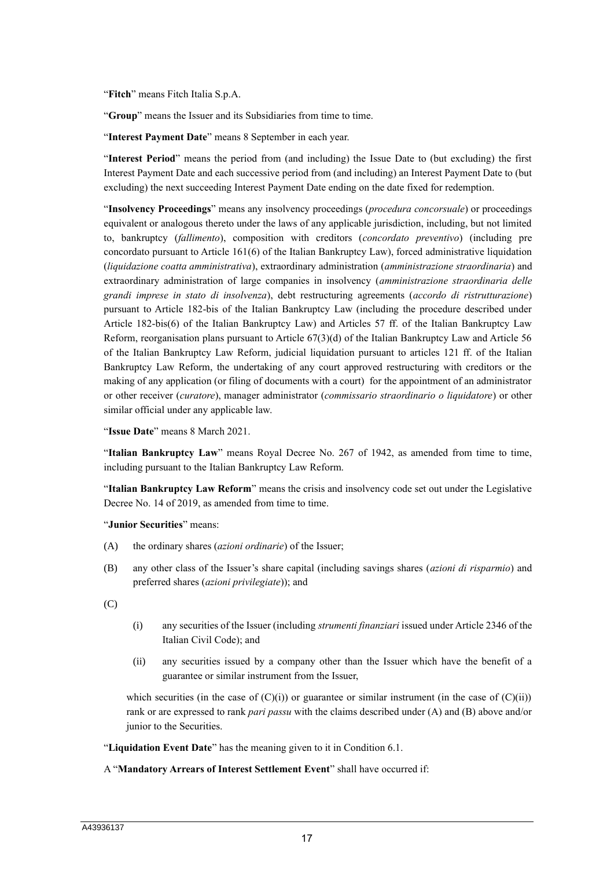"**Fitch**" means Fitch Italia S.p.A.

"**Group**" means the Issuer and its Subsidiaries from time to time.

"**Interest Payment Date**" means 8 September in each year.

"**Interest Period**" means the period from (and including) the Issue Date to (but excluding) the first Interest Payment Date and each successive period from (and including) an Interest Payment Date to (but excluding) the next succeeding Interest Payment Date ending on the date fixed for redemption.

"**Insolvency Proceedings**" means any insolvency proceedings (*procedura concorsuale*) or proceedings equivalent or analogous thereto under the laws of any applicable jurisdiction, including, but not limited to, bankruptcy (*fallimento*), composition with creditors (*concordato preventivo*) (including pre concordato pursuant to Article 161(6) of the Italian Bankruptcy Law), forced administrative liquidation (*liquidazione coatta amministrativa*), extraordinary administration (*amministrazione straordinaria*) and extraordinary administration of large companies in insolvency (*amministrazione straordinaria delle grandi imprese in stato di insolvenza*), debt restructuring agreements (*accordo di ristrutturazione*) pursuant to Article 182-bis of the Italian Bankruptcy Law (including the procedure described under Article 182-bis(6) of the Italian Bankruptcy Law) and Articles 57 ff. of the Italian Bankruptcy Law Reform, reorganisation plans pursuant to Article 67(3)(d) of the Italian Bankruptcy Law and Article 56 of the Italian Bankruptcy Law Reform, judicial liquidation pursuant to articles 121 ff. of the Italian Bankruptcy Law Reform, the undertaking of any court approved restructuring with creditors or the making of any application (or filing of documents with a court) for the appointment of an administrator or other receiver (*curatore*), manager administrator (*commissario straordinario o liquidatore*) or other similar official under any applicable law.

"**Issue Date**" means 8 March 2021.

"**Italian Bankruptcy Law**" means Royal Decree No. 267 of 1942, as amended from time to time, including pursuant to the Italian Bankruptcy Law Reform.

"**Italian Bankruptcy Law Reform**" means the crisis and insolvency code set out under the Legislative Decree No. 14 of 2019, as amended from time to time.

"**Junior Securities**" means:

- (A) the ordinary shares (*azioni ordinarie*) of the Issuer;
- (B) any other class of the Issuer's share capital (including savings shares (*azioni di risparmio*) and preferred shares (*azioni privilegiate*)); and

(C)

- (i) any securities of the Issuer (including *strumenti finanziari* issued under Article 2346 of the Italian Civil Code); and
- (ii) any securities issued by a company other than the Issuer which have the benefit of a guarantee or similar instrument from the Issuer,

which securities (in the case of  $(C)(i)$ ) or guarantee or similar instrument (in the case of  $(C)(ii)$ ) rank or are expressed to rank *pari passu* with the claims described under (A) and (B) above and/or junior to the Securities.

"**Liquidation Event Date**" has the meaning given to it in Condition 6.1.

#### A "**Mandatory Arrears of Interest Settlement Event**" shall have occurred if: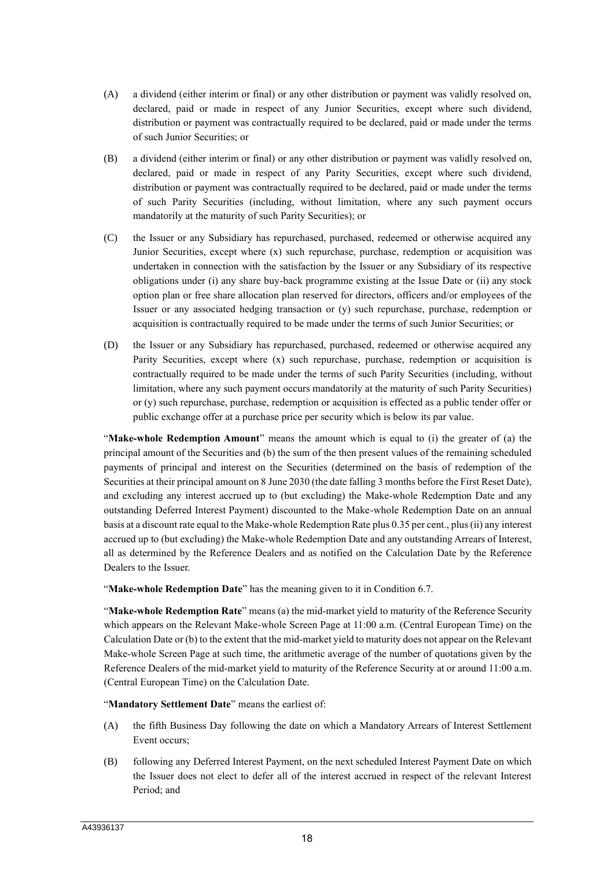- (A) a dividend (either interim or final) or any other distribution or payment was validly resolved on, declared, paid or made in respect of any Junior Securities, except where such dividend, distribution or payment was contractually required to be declared, paid or made under the terms of such Junior Securities; or
- (B) a dividend (either interim or final) or any other distribution or payment was validly resolved on, declared, paid or made in respect of any Parity Securities, except where such dividend, distribution or payment was contractually required to be declared, paid or made under the terms of such Parity Securities (including, without limitation, where any such payment occurs mandatorily at the maturity of such Parity Securities); or
- (C) the Issuer or any Subsidiary has repurchased, purchased, redeemed or otherwise acquired any Junior Securities, except where (x) such repurchase, purchase, redemption or acquisition was undertaken in connection with the satisfaction by the Issuer or any Subsidiary of its respective obligations under (i) any share buy-back programme existing at the Issue Date or (ii) any stock option plan or free share allocation plan reserved for directors, officers and/or employees of the Issuer or any associated hedging transaction or (y) such repurchase, purchase, redemption or acquisition is contractually required to be made under the terms of such Junior Securities; or
- (D) the Issuer or any Subsidiary has repurchased, purchased, redeemed or otherwise acquired any Parity Securities, except where (x) such repurchase, purchase, redemption or acquisition is contractually required to be made under the terms of such Parity Securities (including, without limitation, where any such payment occurs mandatorily at the maturity of such Parity Securities) or (y) such repurchase, purchase, redemption or acquisition is effected as a public tender offer or public exchange offer at a purchase price per security which is below its par value.

"**Make-whole Redemption Amount**" means the amount which is equal to (i) the greater of (a) the principal amount of the Securities and (b) the sum of the then present values of the remaining scheduled payments of principal and interest on the Securities (determined on the basis of redemption of the Securities at their principal amount on 8 June 2030 (the date falling 3 months before the First Reset Date), and excluding any interest accrued up to (but excluding) the Make-whole Redemption Date and any outstanding Deferred Interest Payment) discounted to the Make-whole Redemption Date on an annual basis at a discount rate equal to the Make-whole Redemption Rate plus 0.35 per cent., plus (ii) any interest accrued up to (but excluding) the Make-whole Redemption Date and any outstanding Arrears of Interest, all as determined by the Reference Dealers and as notified on the Calculation Date by the Reference Dealers to the Issuer.

"**Make-whole Redemption Date**" has the meaning given to it in Condition 6.7.

"**Make-whole Redemption Rate**" means (a) the mid-market yield to maturity of the Reference Security which appears on the Relevant Make-whole Screen Page at 11:00 a.m. (Central European Time) on the Calculation Date or (b) to the extent that the mid-market yield to maturity does not appear on the Relevant Make-whole Screen Page at such time, the arithmetic average of the number of quotations given by the Reference Dealers of the mid-market yield to maturity of the Reference Security at or around 11:00 a.m. (Central European Time) on the Calculation Date.

"**Mandatory Settlement Date**" means the earliest of:

- (A) the fifth Business Day following the date on which a Mandatory Arrears of Interest Settlement Event occurs;
- (B) following any Deferred Interest Payment, on the next scheduled Interest Payment Date on which the Issuer does not elect to defer all of the interest accrued in respect of the relevant Interest Period; and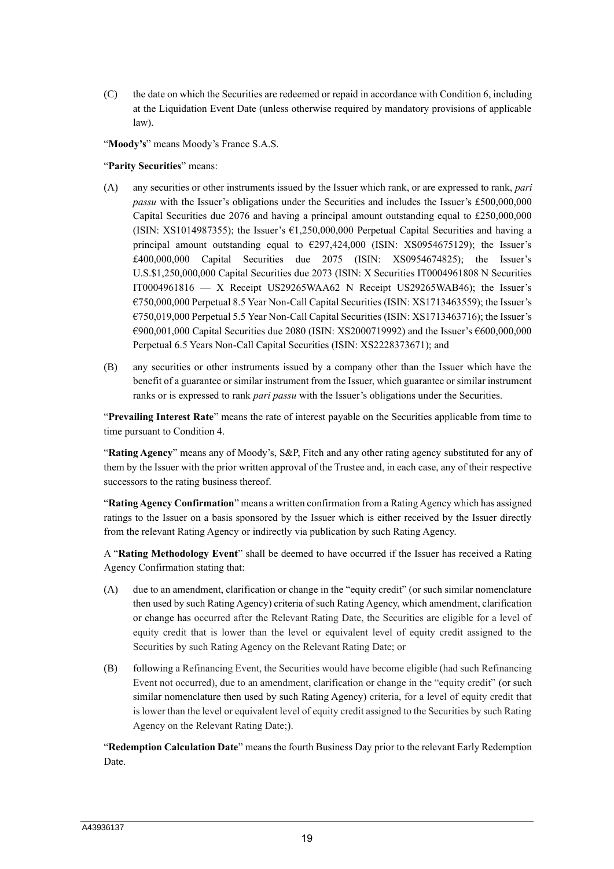(C) the date on which the Securities are redeemed or repaid in accordance with Condition 6, including at the Liquidation Event Date (unless otherwise required by mandatory provisions of applicable law).

"**Moody's**" means Moody's France S.A.S.

"**Parity Securities**" means:

- (A) any securities or other instruments issued by the Issuer which rank, or are expressed to rank, *pari passu* with the Issuer's obligations under the Securities and includes the Issuer's £500,000,000 Capital Securities due 2076 and having a principal amount outstanding equal to £250,000,000 (ISIN: XS1014987355); the Issuer's  $\epsilon$ 1,250,000,000 Perpetual Capital Securities and having a principal amount outstanding equal to  $\epsilon$ 297,424,000 (ISIN: XS0954675129); the Issuer's £400,000,000 Capital Securities due 2075 (ISIN: XS0954674825); the Issuer's U.S.\$1,250,000,000 Capital Securities due 2073 (ISIN: X Securities IT0004961808 N Securities IT0004961816 — X Receipt US29265WAA62 N Receipt US29265WAB46); the Issuer's €750,000,000 Perpetual 8.5 Year Non-Call Capital Securities (ISIN: XS1713463559); the Issuer's €750,019,000 Perpetual 5.5 Year Non-Call Capital Securities (ISIN: XS1713463716); the Issuer's €900,001,000 Capital Securities due 2080 (ISIN: XS2000719992) and the Issuer's €600,000,000 Perpetual 6.5 Years Non-Call Capital Securities (ISIN: XS2228373671); and
- (B) any securities or other instruments issued by a company other than the Issuer which have the benefit of a guarantee or similar instrument from the Issuer, which guarantee or similar instrument ranks or is expressed to rank *pari passu* with the Issuer's obligations under the Securities.

"**Prevailing Interest Rate**" means the rate of interest payable on the Securities applicable from time to time pursuant to Condition 4.

"**Rating Agency**" means any of Moody's, S&P, Fitch and any other rating agency substituted for any of them by the Issuer with the prior written approval of the Trustee and, in each case, any of their respective successors to the rating business thereof.

"**Rating Agency Confirmation**" means a written confirmation from a Rating Agency which has assigned ratings to the Issuer on a basis sponsored by the Issuer which is either received by the Issuer directly from the relevant Rating Agency or indirectly via publication by such Rating Agency.

A "**Rating Methodology Event**" shall be deemed to have occurred if the Issuer has received a Rating Agency Confirmation stating that:

- (A) due to an amendment, clarification or change in the "equity credit" (or such similar nomenclature then used by such Rating Agency) criteria of such Rating Agency, which amendment, clarification or change has occurred after the Relevant Rating Date, the Securities are eligible for a level of equity credit that is lower than the level or equivalent level of equity credit assigned to the Securities by such Rating Agency on the Relevant Rating Date; or
- (B) following a Refinancing Event, the Securities would have become eligible (had such Refinancing Event not occurred), due to an amendment, clarification or change in the "equity credit" (or such similar nomenclature then used by such Rating Agency) criteria, for a level of equity credit that is lower than the level or equivalent level of equity credit assigned to the Securities by such Rating Agency on the Relevant Rating Date;).

"**Redemption Calculation Date**" means the fourth Business Day prior to the relevant Early Redemption Date.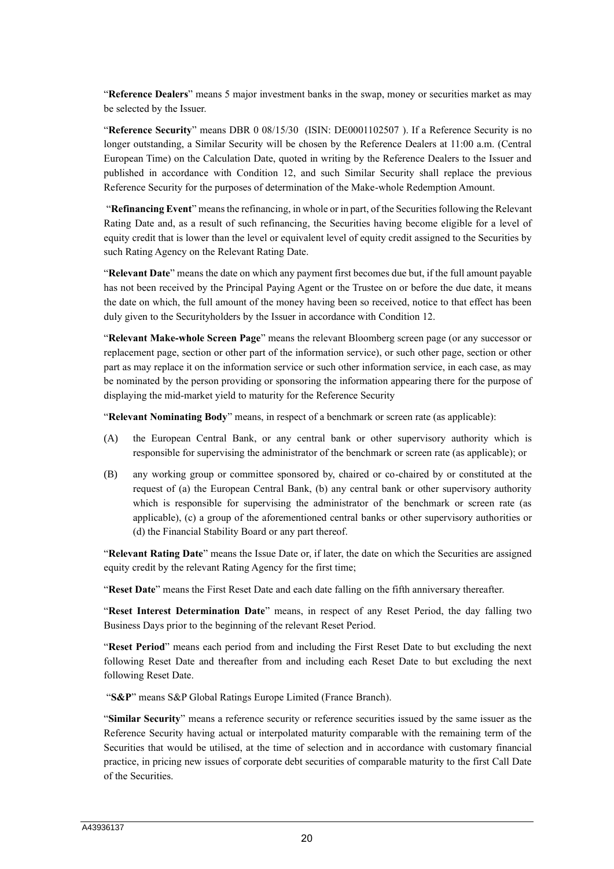"**Reference Dealers**" means 5 major investment banks in the swap, money or securities market as may be selected by the Issuer.

"**Reference Security**" means DBR 0 08/15/30 (ISIN: DE0001102507 ). If a Reference Security is no longer outstanding, a Similar Security will be chosen by the Reference Dealers at 11:00 a.m. (Central European Time) on the Calculation Date, quoted in writing by the Reference Dealers to the Issuer and published in accordance with Condition 12, and such Similar Security shall replace the previous Reference Security for the purposes of determination of the Make-whole Redemption Amount.

"**Refinancing Event**" means the refinancing, in whole or in part, of the Securities following the Relevant Rating Date and, as a result of such refinancing, the Securities having become eligible for a level of equity credit that is lower than the level or equivalent level of equity credit assigned to the Securities by such Rating Agency on the Relevant Rating Date.

"**Relevant Date**" means the date on which any payment first becomes due but, if the full amount payable has not been received by the Principal Paying Agent or the Trustee on or before the due date, it means the date on which, the full amount of the money having been so received, notice to that effect has been duly given to the Securityholders by the Issuer in accordance with Condition 12.

"**Relevant Make-whole Screen Page**" means the relevant Bloomberg screen page (or any successor or replacement page, section or other part of the information service), or such other page, section or other part as may replace it on the information service or such other information service, in each case, as may be nominated by the person providing or sponsoring the information appearing there for the purpose of displaying the mid-market yield to maturity for the Reference Security

"**Relevant Nominating Body**" means, in respect of a benchmark or screen rate (as applicable):

- (A) the European Central Bank, or any central bank or other supervisory authority which is responsible for supervising the administrator of the benchmark or screen rate (as applicable); or
- (B) any working group or committee sponsored by, chaired or co-chaired by or constituted at the request of (a) the European Central Bank, (b) any central bank or other supervisory authority which is responsible for supervising the administrator of the benchmark or screen rate (as applicable), (c) a group of the aforementioned central banks or other supervisory authorities or (d) the Financial Stability Board or any part thereof.

"**Relevant Rating Date**" means the Issue Date or, if later, the date on which the Securities are assigned equity credit by the relevant Rating Agency for the first time;

"**Reset Date**" means the First Reset Date and each date falling on the fifth anniversary thereafter.

"**Reset Interest Determination Date**" means, in respect of any Reset Period, the day falling two Business Days prior to the beginning of the relevant Reset Period.

"**Reset Period**" means each period from and including the First Reset Date to but excluding the next following Reset Date and thereafter from and including each Reset Date to but excluding the next following Reset Date.

"**S&P**" means S&P Global Ratings Europe Limited (France Branch).

"**Similar Security**" means a reference security or reference securities issued by the same issuer as the Reference Security having actual or interpolated maturity comparable with the remaining term of the Securities that would be utilised, at the time of selection and in accordance with customary financial practice, in pricing new issues of corporate debt securities of comparable maturity to the first Call Date of the Securities.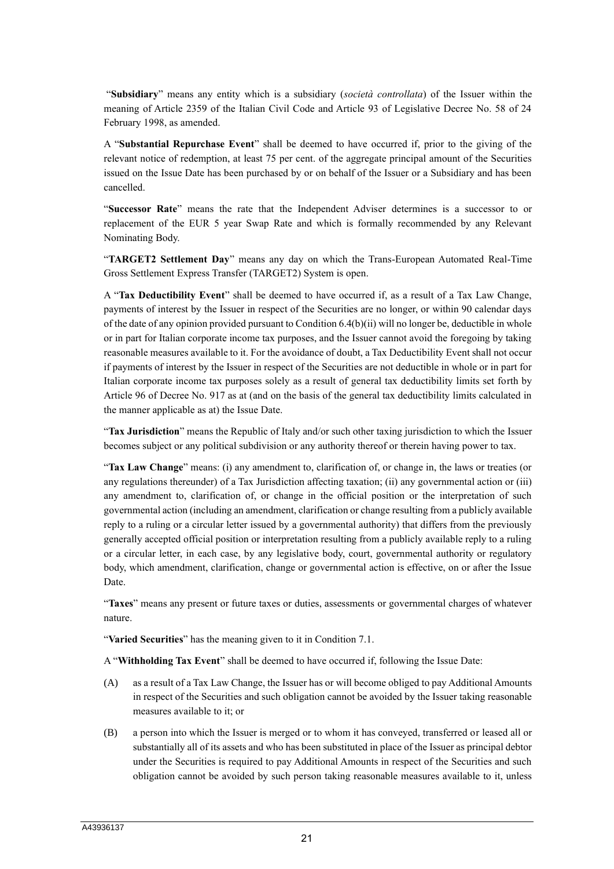"**Subsidiary**" means any entity which is a subsidiary (*società controllata*) of the Issuer within the meaning of Article 2359 of the Italian Civil Code and Article 93 of Legislative Decree No. 58 of 24 February 1998, as amended.

A "**Substantial Repurchase Event**" shall be deemed to have occurred if, prior to the giving of the relevant notice of redemption, at least 75 per cent. of the aggregate principal amount of the Securities issued on the Issue Date has been purchased by or on behalf of the Issuer or a Subsidiary and has been cancelled.

"**Successor Rate**" means the rate that the Independent Adviser determines is a successor to or replacement of the EUR 5 year Swap Rate and which is formally recommended by any Relevant Nominating Body.

"**TARGET2 Settlement Day**" means any day on which the Trans-European Automated Real-Time Gross Settlement Express Transfer (TARGET2) System is open.

A "**Tax Deductibility Event**" shall be deemed to have occurred if, as a result of a Tax Law Change, payments of interest by the Issuer in respect of the Securities are no longer, or within 90 calendar days of the date of any opinion provided pursuant to Condition 6.4(b)(ii) will no longer be, deductible in whole or in part for Italian corporate income tax purposes, and the Issuer cannot avoid the foregoing by taking reasonable measures available to it. For the avoidance of doubt, a Tax Deductibility Event shall not occur if payments of interest by the Issuer in respect of the Securities are not deductible in whole or in part for Italian corporate income tax purposes solely as a result of general tax deductibility limits set forth by Article 96 of Decree No. 917 as at (and on the basis of the general tax deductibility limits calculated in the manner applicable as at) the Issue Date.

"**Tax Jurisdiction**" means the Republic of Italy and/or such other taxing jurisdiction to which the Issuer becomes subject or any political subdivision or any authority thereof or therein having power to tax.

"**Tax Law Change**" means: (i) any amendment to, clarification of, or change in, the laws or treaties (or any regulations thereunder) of a Tax Jurisdiction affecting taxation; (ii) any governmental action or (iii) any amendment to, clarification of, or change in the official position or the interpretation of such governmental action (including an amendment, clarification or change resulting from a publicly available reply to a ruling or a circular letter issued by a governmental authority) that differs from the previously generally accepted official position or interpretation resulting from a publicly available reply to a ruling or a circular letter, in each case, by any legislative body, court, governmental authority or regulatory body, which amendment, clarification, change or governmental action is effective, on or after the Issue Date.

"**Taxes**" means any present or future taxes or duties, assessments or governmental charges of whatever nature.

"**Varied Securities**" has the meaning given to it in Condition 7.1.

A "**Withholding Tax Event**" shall be deemed to have occurred if, following the Issue Date:

- (A) as a result of a Tax Law Change, the Issuer has or will become obliged to pay Additional Amounts in respect of the Securities and such obligation cannot be avoided by the Issuer taking reasonable measures available to it; or
- (B) a person into which the Issuer is merged or to whom it has conveyed, transferred or leased all or substantially all of its assets and who has been substituted in place of the Issuer as principal debtor under the Securities is required to pay Additional Amounts in respect of the Securities and such obligation cannot be avoided by such person taking reasonable measures available to it, unless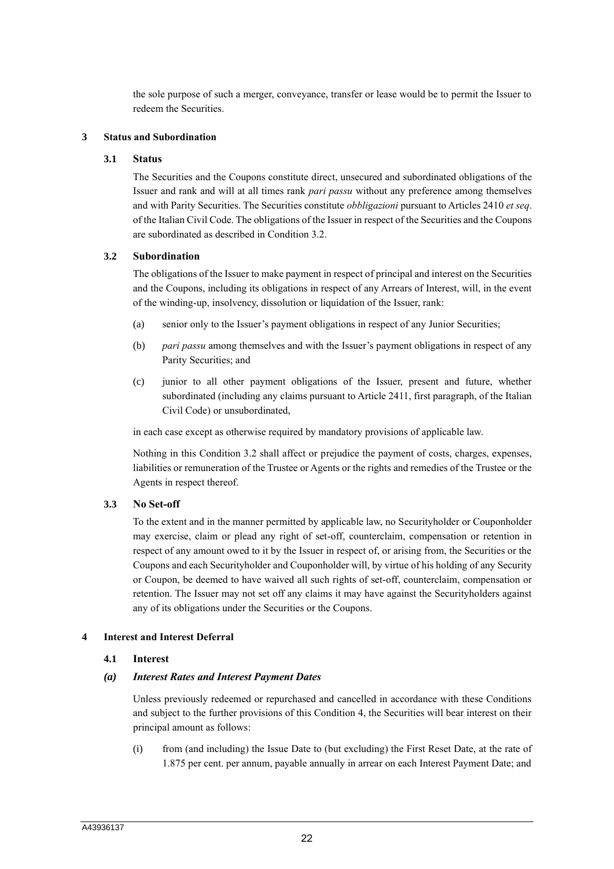the sole purpose of such a merger, conveyance, transfer or lease would be to permit the Issuer to redeem the Securities.

### **3 Status and Subordination**

#### **3.1 Status**

The Securities and the Coupons constitute direct, unsecured and subordinated obligations of the Issuer and rank and will at all times rank *pari passu* without any preference among themselves and with Parity Securities. The Securities constitute *obbligazioni* pursuant to Articles 2410 *et seq*. of the Italian Civil Code. The obligations of the Issuer in respect of the Securities and the Coupons are subordinated as described in Condition 3.2.

#### **3.2 Subordination**

The obligations of the Issuer to make payment in respect of principal and interest on the Securities and the Coupons, including its obligations in respect of any Arrears of Interest, will, in the event of the winding-up, insolvency, dissolution or liquidation of the Issuer, rank:

- (a) senior only to the Issuer's payment obligations in respect of any Junior Securities;
- (b) *pari passu* among themselves and with the Issuer's payment obligations in respect of any Parity Securities; and
- (c) junior to all other payment obligations of the Issuer, present and future, whether subordinated (including any claims pursuant to Article 2411, first paragraph, of the Italian Civil Code) or unsubordinated,

in each case except as otherwise required by mandatory provisions of applicable law.

Nothing in this Condition 3.2 shall affect or prejudice the payment of costs, charges, expenses, liabilities or remuneration of the Trustee or Agents or the rights and remedies of the Trustee or the Agents in respect thereof.

# **3.3 No Set-off**

To the extent and in the manner permitted by applicable law, no Securityholder or Couponholder may exercise, claim or plead any right of set-off, counterclaim, compensation or retention in respect of any amount owed to it by the Issuer in respect of, or arising from, the Securities or the Coupons and each Securityholder and Couponholder will, by virtue of his holding of any Security or Coupon, be deemed to have waived all such rights of set-off, counterclaim, compensation or retention. The Issuer may not set off any claims it may have against the Securityholders against any of its obligations under the Securities or the Coupons.

#### **4 Interest and Interest Deferral**

# **4.1 Interest**

#### *(a) Interest Rates and Interest Payment Dates*

Unless previously redeemed or repurchased and cancelled in accordance with these Conditions and subject to the further provisions of this Condition 4, the Securities will bear interest on their principal amount as follows:

(i) from (and including) the Issue Date to (but excluding) the First Reset Date, at the rate of 1.875 per cent. per annum, payable annually in arrear on each Interest Payment Date; and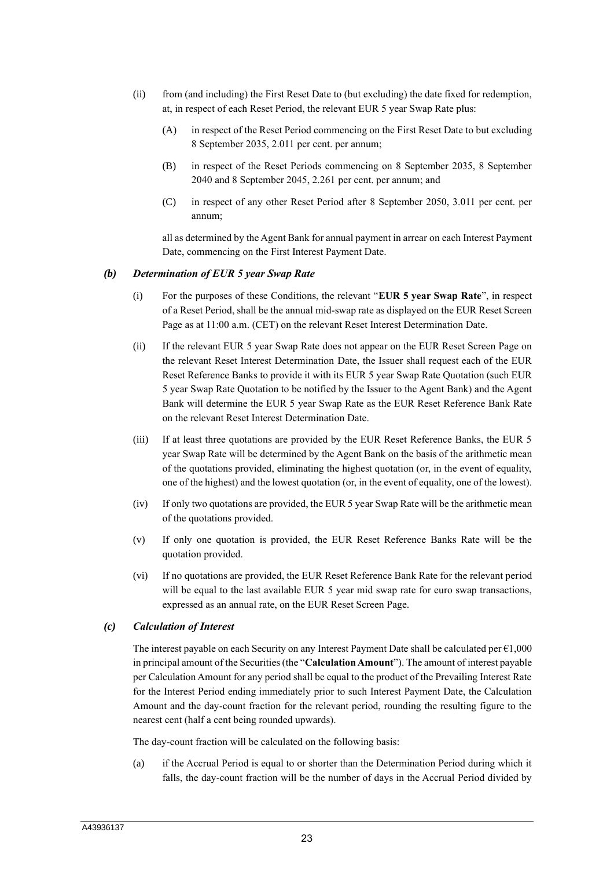- (ii) from (and including) the First Reset Date to (but excluding) the date fixed for redemption, at, in respect of each Reset Period, the relevant EUR 5 year Swap Rate plus:
	- (A) in respect of the Reset Period commencing on the First Reset Date to but excluding 8 September 2035, 2.011 per cent. per annum;
	- (B) in respect of the Reset Periods commencing on 8 September 2035, 8 September 2040 and 8 September 2045, 2.261 per cent. per annum; and
	- (C) in respect of any other Reset Period after 8 September 2050, 3.011 per cent. per annum;

all as determined by the Agent Bank for annual payment in arrear on each Interest Payment Date, commencing on the First Interest Payment Date.

#### *(b) Determination of EUR 5 year Swap Rate*

- (i) For the purposes of these Conditions, the relevant "**EUR 5 year Swap Rate**", in respect of a Reset Period, shall be the annual mid-swap rate as displayed on the EUR Reset Screen Page as at 11:00 a.m. (CET) on the relevant Reset Interest Determination Date.
- (ii) If the relevant EUR 5 year Swap Rate does not appear on the EUR Reset Screen Page on the relevant Reset Interest Determination Date, the Issuer shall request each of the EUR Reset Reference Banks to provide it with its EUR 5 year Swap Rate Quotation (such EUR 5 year Swap Rate Quotation to be notified by the Issuer to the Agent Bank) and the Agent Bank will determine the EUR 5 year Swap Rate as the EUR Reset Reference Bank Rate on the relevant Reset Interest Determination Date.
- (iii) If at least three quotations are provided by the EUR Reset Reference Banks, the EUR 5 year Swap Rate will be determined by the Agent Bank on the basis of the arithmetic mean of the quotations provided, eliminating the highest quotation (or, in the event of equality, one of the highest) and the lowest quotation (or, in the event of equality, one of the lowest).
- (iv) If only two quotations are provided, the EUR 5 year Swap Rate will be the arithmetic mean of the quotations provided.
- (v) If only one quotation is provided, the EUR Reset Reference Banks Rate will be the quotation provided.
- (vi) If no quotations are provided, the EUR Reset Reference Bank Rate for the relevant period will be equal to the last available EUR 5 year mid swap rate for euro swap transactions, expressed as an annual rate, on the EUR Reset Screen Page.

# *(c) Calculation of Interest*

The interest payable on each Security on any Interest Payment Date shall be calculated per  $\epsilon$ 1,000 in principal amount of the Securities (the "**Calculation Amount**"). The amount of interest payable per Calculation Amount for any period shall be equal to the product of the Prevailing Interest Rate for the Interest Period ending immediately prior to such Interest Payment Date, the Calculation Amount and the day-count fraction for the relevant period, rounding the resulting figure to the nearest cent (half a cent being rounded upwards).

The day-count fraction will be calculated on the following basis:

(a) if the Accrual Period is equal to or shorter than the Determination Period during which it falls, the day-count fraction will be the number of days in the Accrual Period divided by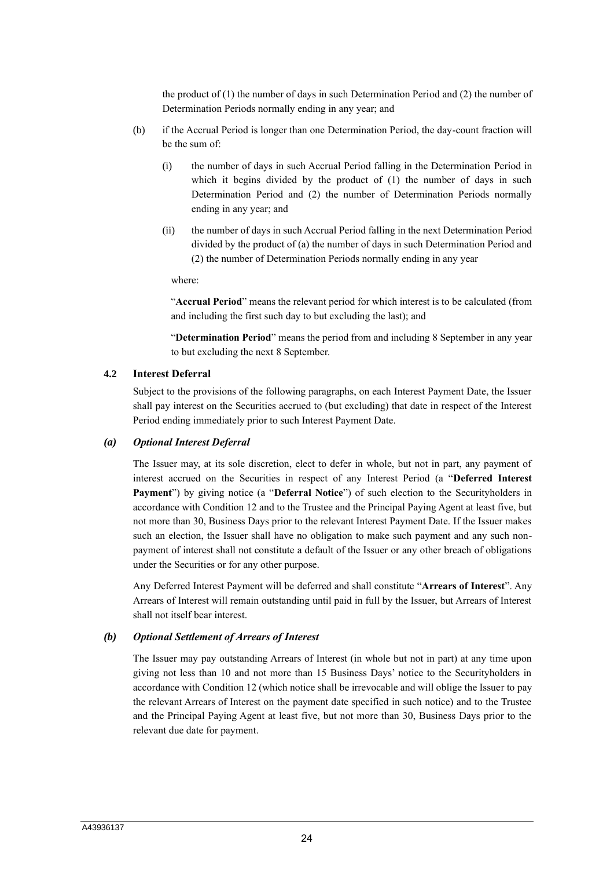the product of  $(1)$  the number of days in such Determination Period and  $(2)$  the number of Determination Periods normally ending in any year; and

- (b) if the Accrual Period is longer than one Determination Period, the day-count fraction will be the sum of:
	- (i) the number of days in such Accrual Period falling in the Determination Period in which it begins divided by the product of (1) the number of days in such Determination Period and (2) the number of Determination Periods normally ending in any year; and
	- (ii) the number of days in such Accrual Period falling in the next Determination Period divided by the product of (a) the number of days in such Determination Period and (2) the number of Determination Periods normally ending in any year

where:

"**Accrual Period**" means the relevant period for which interest is to be calculated (from and including the first such day to but excluding the last); and

"**Determination Period**" means the period from and including 8 September in any year to but excluding the next 8 September.

#### **4.2 Interest Deferral**

Subject to the provisions of the following paragraphs, on each Interest Payment Date, the Issuer shall pay interest on the Securities accrued to (but excluding) that date in respect of the Interest Period ending immediately prior to such Interest Payment Date.

#### *(a) Optional Interest Deferral*

The Issuer may, at its sole discretion, elect to defer in whole, but not in part, any payment of interest accrued on the Securities in respect of any Interest Period (a "**Deferred Interest Payment**") by giving notice (a "**Deferral Notice**") of such election to the Securityholders in accordance with Condition 12 and to the Trustee and the Principal Paying Agent at least five, but not more than 30, Business Days prior to the relevant Interest Payment Date. If the Issuer makes such an election, the Issuer shall have no obligation to make such payment and any such nonpayment of interest shall not constitute a default of the Issuer or any other breach of obligations under the Securities or for any other purpose.

Any Deferred Interest Payment will be deferred and shall constitute "**Arrears of Interest**". Any Arrears of Interest will remain outstanding until paid in full by the Issuer, but Arrears of Interest shall not itself bear interest.

# *(b) Optional Settlement of Arrears of Interest*

The Issuer may pay outstanding Arrears of Interest (in whole but not in part) at any time upon giving not less than 10 and not more than 15 Business Days' notice to the Securityholders in accordance with Condition 12 (which notice shall be irrevocable and will oblige the Issuer to pay the relevant Arrears of Interest on the payment date specified in such notice) and to the Trustee and the Principal Paying Agent at least five, but not more than 30, Business Days prior to the relevant due date for payment.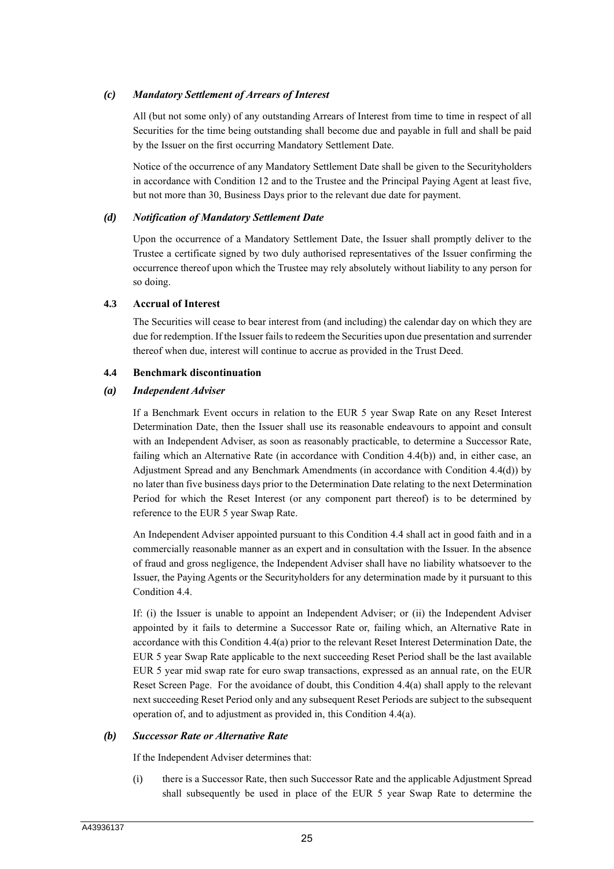## *(c) Mandatory Settlement of Arrears of Interest*

All (but not some only) of any outstanding Arrears of Interest from time to time in respect of all Securities for the time being outstanding shall become due and payable in full and shall be paid by the Issuer on the first occurring Mandatory Settlement Date.

Notice of the occurrence of any Mandatory Settlement Date shall be given to the Securityholders in accordance with Condition 12 and to the Trustee and the Principal Paying Agent at least five, but not more than 30, Business Days prior to the relevant due date for payment.

#### *(d) Notification of Mandatory Settlement Date*

Upon the occurrence of a Mandatory Settlement Date, the Issuer shall promptly deliver to the Trustee a certificate signed by two duly authorised representatives of the Issuer confirming the occurrence thereof upon which the Trustee may rely absolutely without liability to any person for so doing.

#### **4.3 Accrual of Interest**

The Securities will cease to bear interest from (and including) the calendar day on which they are due for redemption. If the Issuer fails to redeem the Securities upon due presentation and surrender thereof when due, interest will continue to accrue as provided in the Trust Deed.

#### **4.4 Benchmark discontinuation**

#### *(a) Independent Adviser*

If a Benchmark Event occurs in relation to the EUR 5 year Swap Rate on any Reset Interest Determination Date, then the Issuer shall use its reasonable endeavours to appoint and consult with an Independent Adviser, as soon as reasonably practicable, to determine a Successor Rate, failing which an Alternative Rate (in accordance with Condition 4.4(b)) and, in either case, an Adjustment Spread and any Benchmark Amendments (in accordance with Condition 4.4(d)) by no later than five business days prior to the Determination Date relating to the next Determination Period for which the Reset Interest (or any component part thereof) is to be determined by reference to the EUR 5 year Swap Rate.

An Independent Adviser appointed pursuant to this Condition 4.4 shall act in good faith and in a commercially reasonable manner as an expert and in consultation with the Issuer. In the absence of fraud and gross negligence, the Independent Adviser shall have no liability whatsoever to the Issuer, the Paying Agents or the Securityholders for any determination made by it pursuant to this Condition 4.4.

If: (i) the Issuer is unable to appoint an Independent Adviser; or (ii) the Independent Adviser appointed by it fails to determine a Successor Rate or, failing which, an Alternative Rate in accordance with this Condition 4.4(a) prior to the relevant Reset Interest Determination Date, the EUR 5 year Swap Rate applicable to the next succeeding Reset Period shall be the last available EUR 5 year mid swap rate for euro swap transactions, expressed as an annual rate, on the EUR Reset Screen Page. For the avoidance of doubt, this Condition 4.4(a) shall apply to the relevant next succeeding Reset Period only and any subsequent Reset Periods are subject to the subsequent operation of, and to adjustment as provided in, this Condition 4.4(a).

#### *(b) Successor Rate or Alternative Rate*

If the Independent Adviser determines that:

(i) there is a Successor Rate, then such Successor Rate and the applicable Adjustment Spread shall subsequently be used in place of the EUR 5 year Swap Rate to determine the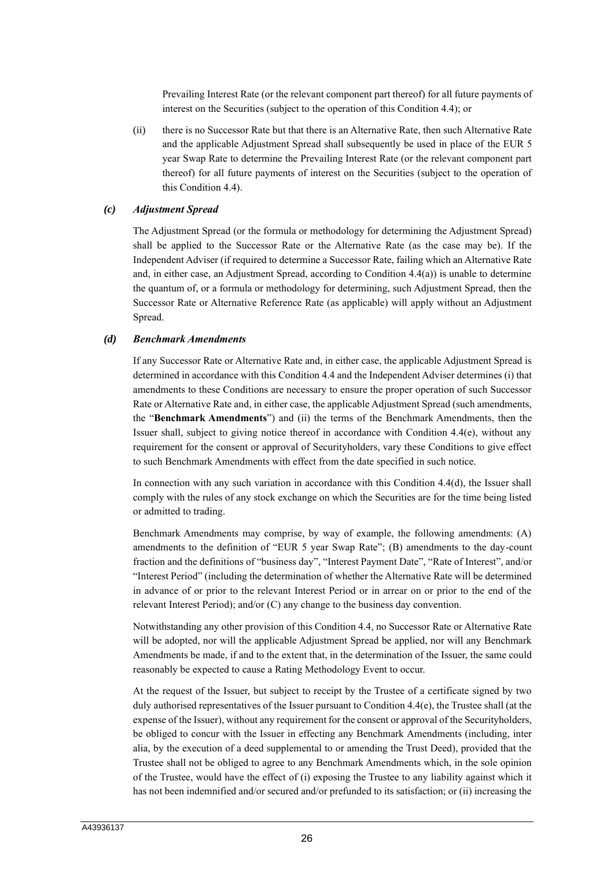Prevailing Interest Rate (or the relevant component part thereof) for all future payments of interest on the Securities (subject to the operation of this Condition 4.4); or

(ii) there is no Successor Rate but that there is an Alternative Rate, then such Alternative Rate and the applicable Adjustment Spread shall subsequently be used in place of the EUR 5 year Swap Rate to determine the Prevailing Interest Rate (or the relevant component part thereof) for all future payments of interest on the Securities (subject to the operation of this Condition 4.4).

#### *(c) Adjustment Spread*

The Adjustment Spread (or the formula or methodology for determining the Adjustment Spread) shall be applied to the Successor Rate or the Alternative Rate (as the case may be). If the Independent Adviser (if required to determine a Successor Rate, failing which an Alternative Rate and, in either case, an Adjustment Spread, according to Condition 4.4(a)) is unable to determine the quantum of, or a formula or methodology for determining, such Adjustment Spread, then the Successor Rate or Alternative Reference Rate (as applicable) will apply without an Adjustment Spread.

#### *(d) Benchmark Amendments*

If any Successor Rate or Alternative Rate and, in either case, the applicable Adjustment Spread is determined in accordance with this Condition 4.4 and the Independent Adviser determines (i) that amendments to these Conditions are necessary to ensure the proper operation of such Successor Rate or Alternative Rate and, in either case, the applicable Adjustment Spread (such amendments, the "**Benchmark Amendments**") and (ii) the terms of the Benchmark Amendments, then the Issuer shall, subject to giving notice thereof in accordance with Condition 4.4(e), without any requirement for the consent or approval of Securityholders, vary these Conditions to give effect to such Benchmark Amendments with effect from the date specified in such notice.

In connection with any such variation in accordance with this Condition 4.4(d), the Issuer shall comply with the rules of any stock exchange on which the Securities are for the time being listed or admitted to trading.

Benchmark Amendments may comprise, by way of example, the following amendments: (A) amendments to the definition of "EUR 5 year Swap Rate"; (B) amendments to the day-count fraction and the definitions of "business day", "Interest Payment Date", "Rate of Interest", and/or "Interest Period" (including the determination of whether the Alternative Rate will be determined in advance of or prior to the relevant Interest Period or in arrear on or prior to the end of the relevant Interest Period); and/or (C) any change to the business day convention.

Notwithstanding any other provision of this Condition 4.4, no Successor Rate or Alternative Rate will be adopted, nor will the applicable Adjustment Spread be applied, nor will any Benchmark Amendments be made, if and to the extent that, in the determination of the Issuer, the same could reasonably be expected to cause a Rating Methodology Event to occur.

At the request of the Issuer, but subject to receipt by the Trustee of a certificate signed by two duly authorised representatives of the Issuer pursuant to Condition 4.4(e), the Trustee shall (at the expense of the Issuer), without any requirement for the consent or approval of the Securityholders, be obliged to concur with the Issuer in effecting any Benchmark Amendments (including, inter alia, by the execution of a deed supplemental to or amending the Trust Deed), provided that the Trustee shall not be obliged to agree to any Benchmark Amendments which, in the sole opinion of the Trustee, would have the effect of (i) exposing the Trustee to any liability against which it has not been indemnified and/or secured and/or prefunded to its satisfaction; or (ii) increasing the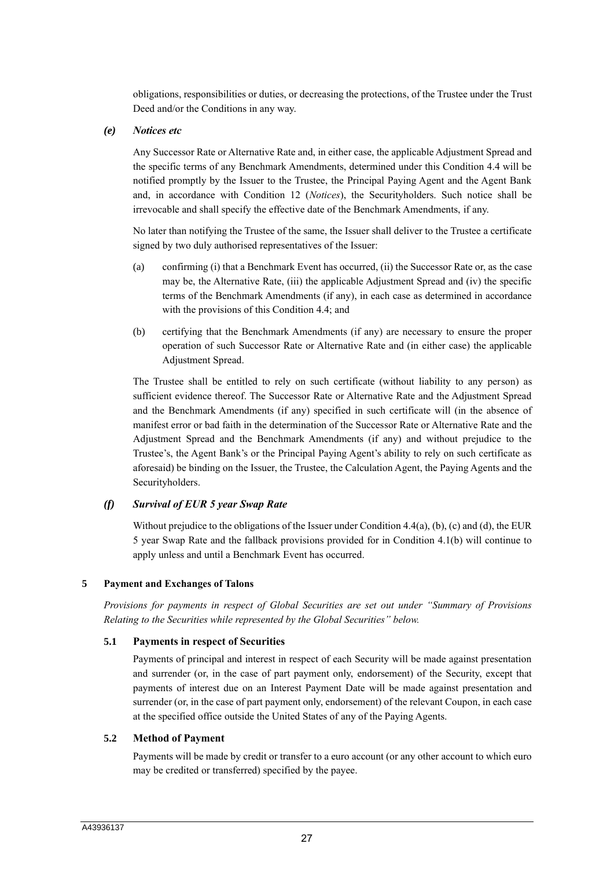obligations, responsibilities or duties, or decreasing the protections, of the Trustee under the Trust Deed and/or the Conditions in any way.

### *(e) Notices etc*

Any Successor Rate or Alternative Rate and, in either case, the applicable Adjustment Spread and the specific terms of any Benchmark Amendments, determined under this Condition 4.4 will be notified promptly by the Issuer to the Trustee, the Principal Paying Agent and the Agent Bank and, in accordance with Condition 12 (*Notices*), the Securityholders. Such notice shall be irrevocable and shall specify the effective date of the Benchmark Amendments, if any.

No later than notifying the Trustee of the same, the Issuer shall deliver to the Trustee a certificate signed by two duly authorised representatives of the Issuer:

- (a) confirming (i) that a Benchmark Event has occurred, (ii) the Successor Rate or, as the case may be, the Alternative Rate, (iii) the applicable Adjustment Spread and (iv) the specific terms of the Benchmark Amendments (if any), in each case as determined in accordance with the provisions of this Condition 4.4; and
- (b) certifying that the Benchmark Amendments (if any) are necessary to ensure the proper operation of such Successor Rate or Alternative Rate and (in either case) the applicable Adjustment Spread.

The Trustee shall be entitled to rely on such certificate (without liability to any person) as sufficient evidence thereof. The Successor Rate or Alternative Rate and the Adjustment Spread and the Benchmark Amendments (if any) specified in such certificate will (in the absence of manifest error or bad faith in the determination of the Successor Rate or Alternative Rate and the Adjustment Spread and the Benchmark Amendments (if any) and without prejudice to the Trustee's, the Agent Bank's or the Principal Paying Agent's ability to rely on such certificate as aforesaid) be binding on the Issuer, the Trustee, the Calculation Agent, the Paying Agents and the Securityholders.

# *(f) Survival of EUR 5 year Swap Rate*

Without prejudice to the obligations of the Issuer under Condition 4.4(a), (b), (c) and (d), the EUR 5 year Swap Rate and the fallback provisions provided for in Condition 4.1(b) will continue to apply unless and until a Benchmark Event has occurred.

# **5 Payment and Exchanges of Talons**

*Provisions for payments in respect of Global Securities are set out under "Summary of Provisions Relating to the Securities while represented by the Global Securities" below.*

# **5.1 Payments in respect of Securities**

Payments of principal and interest in respect of each Security will be made against presentation and surrender (or, in the case of part payment only, endorsement) of the Security, except that payments of interest due on an Interest Payment Date will be made against presentation and surrender (or, in the case of part payment only, endorsement) of the relevant Coupon, in each case at the specified office outside the United States of any of the Paying Agents.

# **5.2 Method of Payment**

Payments will be made by credit or transfer to a euro account (or any other account to which euro may be credited or transferred) specified by the payee.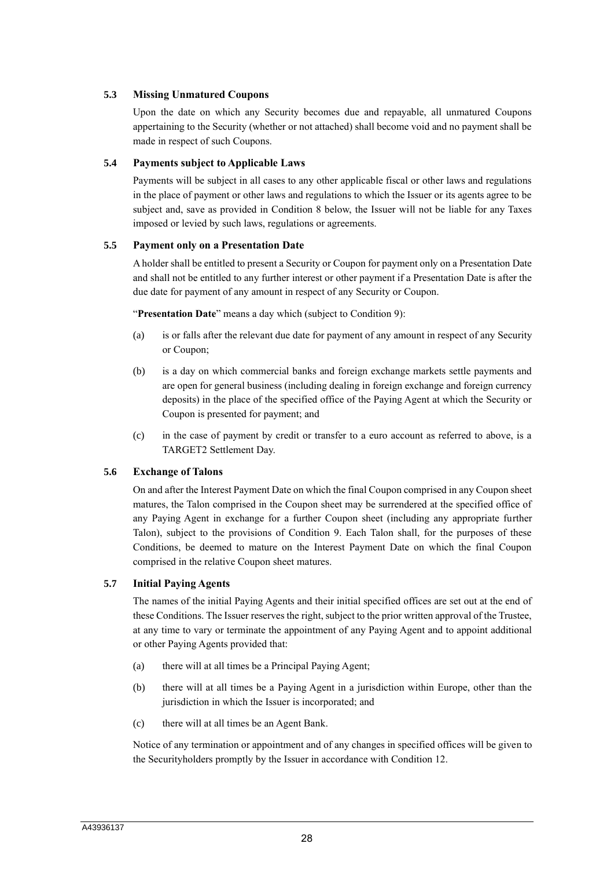# **5.3 Missing Unmatured Coupons**

Upon the date on which any Security becomes due and repayable, all unmatured Coupons appertaining to the Security (whether or not attached) shall become void and no payment shall be made in respect of such Coupons.

# **5.4 Payments subject to Applicable Laws**

Payments will be subject in all cases to any other applicable fiscal or other laws and regulations in the place of payment or other laws and regulations to which the Issuer or its agents agree to be subject and, save as provided in Condition 8 below, the Issuer will not be liable for any Taxes imposed or levied by such laws, regulations or agreements.

# **5.5 Payment only on a Presentation Date**

A holder shall be entitled to present a Security or Coupon for payment only on a Presentation Date and shall not be entitled to any further interest or other payment if a Presentation Date is after the due date for payment of any amount in respect of any Security or Coupon.

"**Presentation Date**" means a day which (subject to Condition 9):

- (a) is or falls after the relevant due date for payment of any amount in respect of any Security or Coupon;
- (b) is a day on which commercial banks and foreign exchange markets settle payments and are open for general business (including dealing in foreign exchange and foreign currency deposits) in the place of the specified office of the Paying Agent at which the Security or Coupon is presented for payment; and
- (c) in the case of payment by credit or transfer to a euro account as referred to above, is a TARGET2 Settlement Day.

# **5.6 Exchange of Talons**

On and after the Interest Payment Date on which the final Coupon comprised in any Coupon sheet matures, the Talon comprised in the Coupon sheet may be surrendered at the specified office of any Paying Agent in exchange for a further Coupon sheet (including any appropriate further Talon), subject to the provisions of Condition 9. Each Talon shall, for the purposes of these Conditions, be deemed to mature on the Interest Payment Date on which the final Coupon comprised in the relative Coupon sheet matures.

# **5.7 Initial Paying Agents**

The names of the initial Paying Agents and their initial specified offices are set out at the end of these Conditions. The Issuer reserves the right, subject to the prior written approval of the Trustee, at any time to vary or terminate the appointment of any Paying Agent and to appoint additional or other Paying Agents provided that:

- (a) there will at all times be a Principal Paying Agent;
- (b) there will at all times be a Paying Agent in a jurisdiction within Europe, other than the jurisdiction in which the Issuer is incorporated; and
- (c) there will at all times be an Agent Bank.

Notice of any termination or appointment and of any changes in specified offices will be given to the Securityholders promptly by the Issuer in accordance with Condition 12.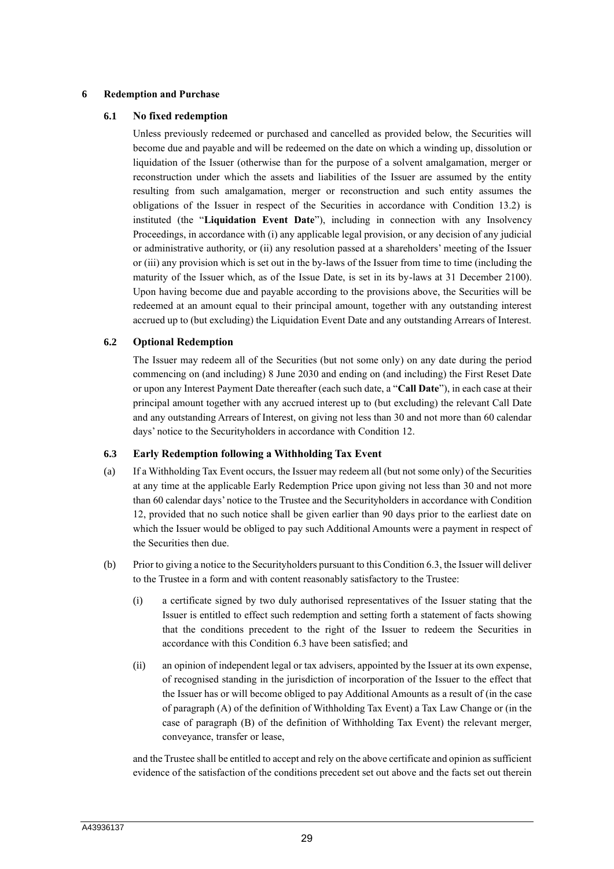#### **6 Redemption and Purchase**

### **6.1 No fixed redemption**

Unless previously redeemed or purchased and cancelled as provided below, the Securities will become due and payable and will be redeemed on the date on which a winding up, dissolution or liquidation of the Issuer (otherwise than for the purpose of a solvent amalgamation, merger or reconstruction under which the assets and liabilities of the Issuer are assumed by the entity resulting from such amalgamation, merger or reconstruction and such entity assumes the obligations of the Issuer in respect of the Securities in accordance with Condition 13.2) is instituted (the "**Liquidation Event Date**"), including in connection with any Insolvency Proceedings, in accordance with (i) any applicable legal provision, or any decision of any judicial or administrative authority, or (ii) any resolution passed at a shareholders' meeting of the Issuer or (iii) any provision which is set out in the by-laws of the Issuer from time to time (including the maturity of the Issuer which, as of the Issue Date, is set in its by-laws at 31 December 2100). Upon having become due and payable according to the provisions above, the Securities will be redeemed at an amount equal to their principal amount, together with any outstanding interest accrued up to (but excluding) the Liquidation Event Date and any outstanding Arrears of Interest.

# **6.2 Optional Redemption**

The Issuer may redeem all of the Securities (but not some only) on any date during the period commencing on (and including) 8 June 2030 and ending on (and including) the First Reset Date or upon any Interest Payment Date thereafter (each such date, a "**Call Date**"), in each case at their principal amount together with any accrued interest up to (but excluding) the relevant Call Date and any outstanding Arrears of Interest, on giving not less than 30 and not more than 60 calendar days' notice to the Securityholders in accordance with Condition 12.

#### **6.3 Early Redemption following a Withholding Tax Event**

- (a) If a Withholding Tax Event occurs, the Issuer may redeem all (but not some only) of the Securities at any time at the applicable Early Redemption Price upon giving not less than 30 and not more than 60 calendar days' notice to the Trustee and the Securityholders in accordance with Condition 12, provided that no such notice shall be given earlier than 90 days prior to the earliest date on which the Issuer would be obliged to pay such Additional Amounts were a payment in respect of the Securities then due.
- (b) Prior to giving a notice to the Securityholders pursuant to this Condition 6.3, the Issuer will deliver to the Trustee in a form and with content reasonably satisfactory to the Trustee:
	- (i) a certificate signed by two duly authorised representatives of the Issuer stating that the Issuer is entitled to effect such redemption and setting forth a statement of facts showing that the conditions precedent to the right of the Issuer to redeem the Securities in accordance with this Condition 6.3 have been satisfied; and
	- (ii) an opinion of independent legal or tax advisers, appointed by the Issuer at its own expense, of recognised standing in the jurisdiction of incorporation of the Issuer to the effect that the Issuer has or will become obliged to pay Additional Amounts as a result of (in the case of paragraph (A) of the definition of Withholding Tax Event) a Tax Law Change or (in the case of paragraph (B) of the definition of Withholding Tax Event) the relevant merger, conveyance, transfer or lease,

and the Trustee shall be entitled to accept and rely on the above certificate and opinion as sufficient evidence of the satisfaction of the conditions precedent set out above and the facts set out therein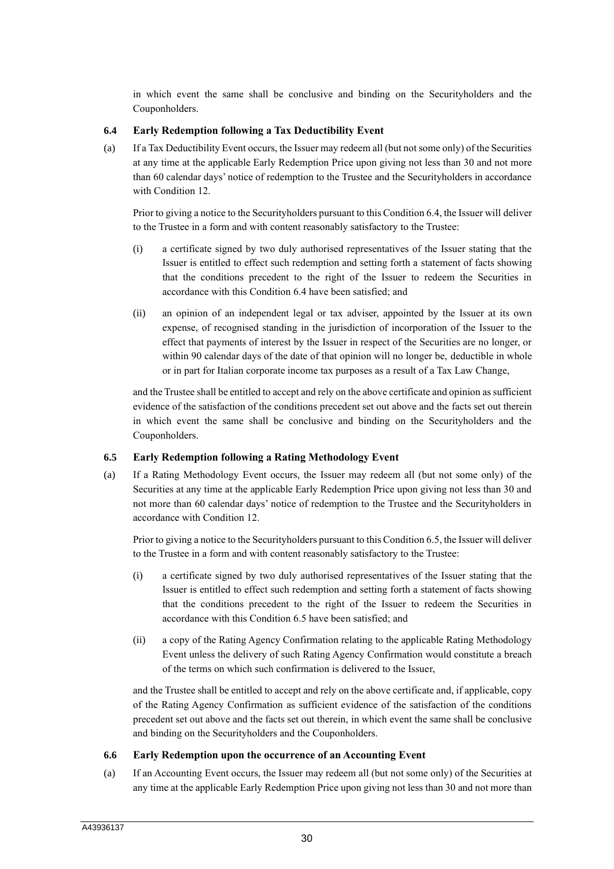in which event the same shall be conclusive and binding on the Securityholders and the Couponholders.

# **6.4 Early Redemption following a Tax Deductibility Event**

(a) If a Tax Deductibility Event occurs, the Issuer may redeem all (but not some only) of the Securities at any time at the applicable Early Redemption Price upon giving not less than 30 and not more than 60 calendar days' notice of redemption to the Trustee and the Securityholders in accordance with Condition 12.

Prior to giving a notice to the Securityholders pursuant to this Condition 6.4, the Issuer will deliver to the Trustee in a form and with content reasonably satisfactory to the Trustee:

- (i) a certificate signed by two duly authorised representatives of the Issuer stating that the Issuer is entitled to effect such redemption and setting forth a statement of facts showing that the conditions precedent to the right of the Issuer to redeem the Securities in accordance with this Condition 6.4 have been satisfied; and
- (ii) an opinion of an independent legal or tax adviser, appointed by the Issuer at its own expense, of recognised standing in the jurisdiction of incorporation of the Issuer to the effect that payments of interest by the Issuer in respect of the Securities are no longer, or within 90 calendar days of the date of that opinion will no longer be, deductible in whole or in part for Italian corporate income tax purposes as a result of a Tax Law Change,

and the Trustee shall be entitled to accept and rely on the above certificate and opinion as sufficient evidence of the satisfaction of the conditions precedent set out above and the facts set out therein in which event the same shall be conclusive and binding on the Securityholders and the Couponholders.

# **6.5 Early Redemption following a Rating Methodology Event**

(a) If a Rating Methodology Event occurs, the Issuer may redeem all (but not some only) of the Securities at any time at the applicable Early Redemption Price upon giving not less than 30 and not more than 60 calendar days' notice of redemption to the Trustee and the Securityholders in accordance with Condition 12.

Prior to giving a notice to the Securityholders pursuant to this Condition 6.5, the Issuer will deliver to the Trustee in a form and with content reasonably satisfactory to the Trustee:

- (i) a certificate signed by two duly authorised representatives of the Issuer stating that the Issuer is entitled to effect such redemption and setting forth a statement of facts showing that the conditions precedent to the right of the Issuer to redeem the Securities in accordance with this Condition 6.5 have been satisfied; and
- (ii) a copy of the Rating Agency Confirmation relating to the applicable Rating Methodology Event unless the delivery of such Rating Agency Confirmation would constitute a breach of the terms on which such confirmation is delivered to the Issuer,

and the Trustee shall be entitled to accept and rely on the above certificate and, if applicable, copy of the Rating Agency Confirmation as sufficient evidence of the satisfaction of the conditions precedent set out above and the facts set out therein, in which event the same shall be conclusive and binding on the Securityholders and the Couponholders.

# **6.6 Early Redemption upon the occurrence of an Accounting Event**

(a) If an Accounting Event occurs, the Issuer may redeem all (but not some only) of the Securities at any time at the applicable Early Redemption Price upon giving not less than 30 and not more than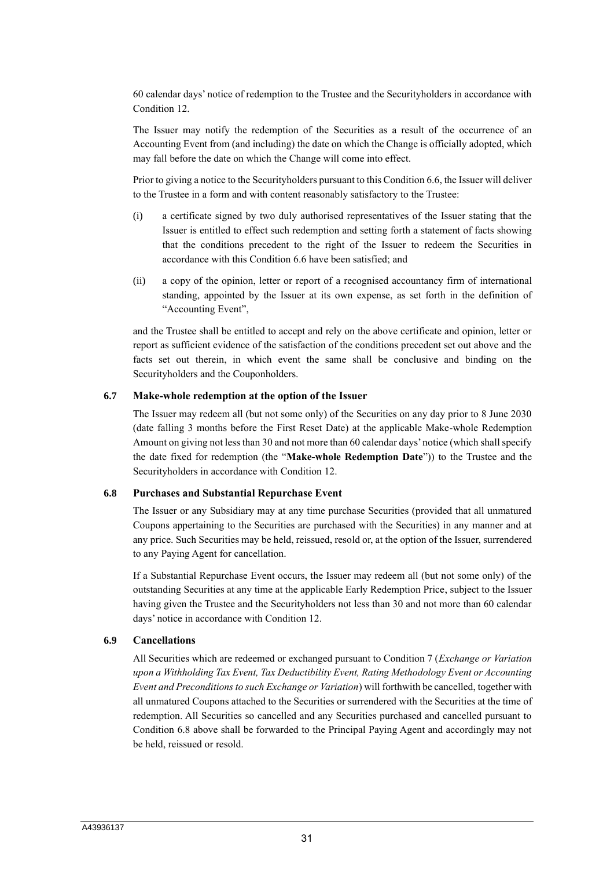60 calendar days' notice of redemption to the Trustee and the Securityholders in accordance with Condition 12.

The Issuer may notify the redemption of the Securities as a result of the occurrence of an Accounting Event from (and including) the date on which the Change is officially adopted, which may fall before the date on which the Change will come into effect.

Prior to giving a notice to the Securityholders pursuant to this Condition 6.6, the Issuer will deliver to the Trustee in a form and with content reasonably satisfactory to the Trustee:

- (i) a certificate signed by two duly authorised representatives of the Issuer stating that the Issuer is entitled to effect such redemption and setting forth a statement of facts showing that the conditions precedent to the right of the Issuer to redeem the Securities in accordance with this Condition 6.6 have been satisfied; and
- (ii) a copy of the opinion, letter or report of a recognised accountancy firm of international standing, appointed by the Issuer at its own expense, as set forth in the definition of "Accounting Event",

and the Trustee shall be entitled to accept and rely on the above certificate and opinion, letter or report as sufficient evidence of the satisfaction of the conditions precedent set out above and the facts set out therein, in which event the same shall be conclusive and binding on the Securityholders and the Couponholders.

#### **6.7 Make-whole redemption at the option of the Issuer**

The Issuer may redeem all (but not some only) of the Securities on any day prior to 8 June 2030 (date falling 3 months before the First Reset Date) at the applicable Make-whole Redemption Amount on giving not less than 30 and not more than 60 calendar days' notice (which shall specify the date fixed for redemption (the "**Make-whole Redemption Date**")) to the Trustee and the Securityholders in accordance with Condition 12.

#### **6.8 Purchases and Substantial Repurchase Event**

The Issuer or any Subsidiary may at any time purchase Securities (provided that all unmatured Coupons appertaining to the Securities are purchased with the Securities) in any manner and at any price. Such Securities may be held, reissued, resold or, at the option of the Issuer, surrendered to any Paying Agent for cancellation.

If a Substantial Repurchase Event occurs, the Issuer may redeem all (but not some only) of the outstanding Securities at any time at the applicable Early Redemption Price, subject to the Issuer having given the Trustee and the Securityholders not less than 30 and not more than 60 calendar days' notice in accordance with Condition 12.

#### **6.9 Cancellations**

All Securities which are redeemed or exchanged pursuant to Condition 7 (*Exchange or Variation upon a Withholding Tax Event, Tax Deductibility Event, Rating Methodology Event or Accounting Event and Preconditions to such Exchange or Variation*) will forthwith be cancelled, together with all unmatured Coupons attached to the Securities or surrendered with the Securities at the time of redemption. All Securities so cancelled and any Securities purchased and cancelled pursuant to Condition 6.8 above shall be forwarded to the Principal Paying Agent and accordingly may not be held, reissued or resold.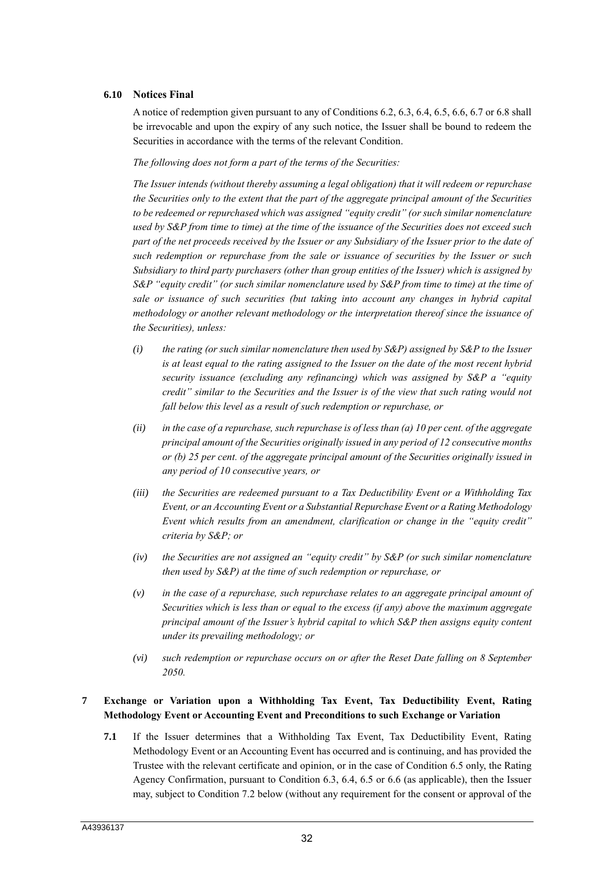#### **6.10 Notices Final**

A notice of redemption given pursuant to any of Conditions 6.2, 6.3, 6.4, 6.5, 6.6, 6.7 or 6.8 shall be irrevocable and upon the expiry of any such notice, the Issuer shall be bound to redeem the Securities in accordance with the terms of the relevant Condition.

*The following does not form a part of the terms of the Securities:*

*The Issuer intends (without thereby assuming a legal obligation) that it will redeem or repurchase the Securities only to the extent that the part of the aggregate principal amount of the Securities to be redeemed or repurchased which was assigned "equity credit" (or such similar nomenclature used by S&P from time to time) at the time of the issuance of the Securities does not exceed such part of the net proceeds received by the Issuer or any Subsidiary of the Issuer prior to the date of such redemption or repurchase from the sale or issuance of securities by the Issuer or such Subsidiary to third party purchasers (other than group entities of the Issuer) which is assigned by S&P "equity credit" (or such similar nomenclature used by S&P from time to time) at the time of sale or issuance of such securities (but taking into account any changes in hybrid capital methodology or another relevant methodology or the interpretation thereof since the issuance of the Securities), unless:*

- *(i) the rating (or such similar nomenclature then used by S&P) assigned by S&P to the Issuer is at least equal to the rating assigned to the Issuer on the date of the most recent hybrid security issuance (excluding any refinancing) which was assigned by S&P a "equity credit" similar to the Securities and the Issuer is of the view that such rating would not fall below this level as a result of such redemption or repurchase, or*
- *(ii) in the case of a repurchase, such repurchase is of less than (a) 10 per cent. of the aggregate principal amount of the Securities originally issued in any period of 12 consecutive months or (b) 25 per cent. of the aggregate principal amount of the Securities originally issued in any period of 10 consecutive years, or*
- *(iii) the Securities are redeemed pursuant to a Tax Deductibility Event or a Withholding Tax Event, or an Accounting Event or a Substantial Repurchase Event or a Rating Methodology Event which results from an amendment, clarification or change in the "equity credit" criteria by S&P; or*
- *(iv) the Securities are not assigned an "equity credit" by S&P (or such similar nomenclature then used by S&P) at the time of such redemption or repurchase, or*
- *(v) in the case of a repurchase, such repurchase relates to an aggregate principal amount of Securities which is less than or equal to the excess (if any) above the maximum aggregate principal amount of the Issuer's hybrid capital to which S&P then assigns equity content under its prevailing methodology; or*
- *(vi) such redemption or repurchase occurs on or after the Reset Date falling on 8 September 2050.*

# **7 Exchange or Variation upon a Withholding Tax Event, Tax Deductibility Event, Rating Methodology Event or Accounting Event and Preconditions to such Exchange or Variation**

**7.1** If the Issuer determines that a Withholding Tax Event, Tax Deductibility Event, Rating Methodology Event or an Accounting Event has occurred and is continuing, and has provided the Trustee with the relevant certificate and opinion, or in the case of Condition 6.5 only, the Rating Agency Confirmation, pursuant to Condition 6.3, 6.4, 6.5 or 6.6 (as applicable), then the Issuer may, subject to Condition 7.2 below (without any requirement for the consent or approval of the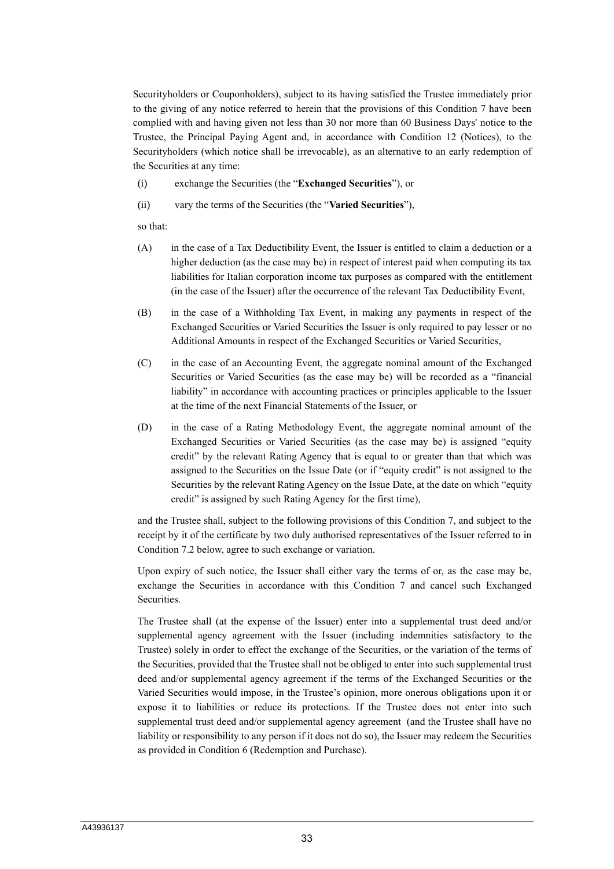Securityholders or Couponholders), subject to its having satisfied the Trustee immediately prior to the giving of any notice referred to herein that the provisions of this Condition 7 have been complied with and having given not less than 30 nor more than 60 Business Days' notice to the Trustee, the Principal Paying Agent and, in accordance with Condition 12 (Notices), to the Securityholders (which notice shall be irrevocable), as an alternative to an early redemption of the Securities at any time:

- (i) exchange the Securities (the "**Exchanged Securities**"), or
- (ii) vary the terms of the Securities (the "**Varied Securities**"),

so that:

- (A) in the case of a Tax Deductibility Event, the Issuer is entitled to claim a deduction or a higher deduction (as the case may be) in respect of interest paid when computing its tax liabilities for Italian corporation income tax purposes as compared with the entitlement (in the case of the Issuer) after the occurrence of the relevant Tax Deductibility Event,
- (B) in the case of a Withholding Tax Event, in making any payments in respect of the Exchanged Securities or Varied Securities the Issuer is only required to pay lesser or no Additional Amounts in respect of the Exchanged Securities or Varied Securities,
- (C) in the case of an Accounting Event, the aggregate nominal amount of the Exchanged Securities or Varied Securities (as the case may be) will be recorded as a "financial liability" in accordance with accounting practices or principles applicable to the Issuer at the time of the next Financial Statements of the Issuer, or
- (D) in the case of a Rating Methodology Event, the aggregate nominal amount of the Exchanged Securities or Varied Securities (as the case may be) is assigned "equity credit" by the relevant Rating Agency that is equal to or greater than that which was assigned to the Securities on the Issue Date (or if "equity credit" is not assigned to the Securities by the relevant Rating Agency on the Issue Date, at the date on which "equity credit" is assigned by such Rating Agency for the first time),

and the Trustee shall, subject to the following provisions of this Condition 7, and subject to the receipt by it of the certificate by two duly authorised representatives of the Issuer referred to in Condition 7.2 below, agree to such exchange or variation.

Upon expiry of such notice, the Issuer shall either vary the terms of or, as the case may be, exchange the Securities in accordance with this Condition 7 and cancel such Exchanged Securities.

The Trustee shall (at the expense of the Issuer) enter into a supplemental trust deed and/or supplemental agency agreement with the Issuer (including indemnities satisfactory to the Trustee) solely in order to effect the exchange of the Securities, or the variation of the terms of the Securities, provided that the Trustee shall not be obliged to enter into such supplemental trust deed and/or supplemental agency agreement if the terms of the Exchanged Securities or the Varied Securities would impose, in the Trustee's opinion, more onerous obligations upon it or expose it to liabilities or reduce its protections. If the Trustee does not enter into such supplemental trust deed and/or supplemental agency agreement (and the Trustee shall have no liability or responsibility to any person if it does not do so), the Issuer may redeem the Securities as provided in Condition 6 (Redemption and Purchase).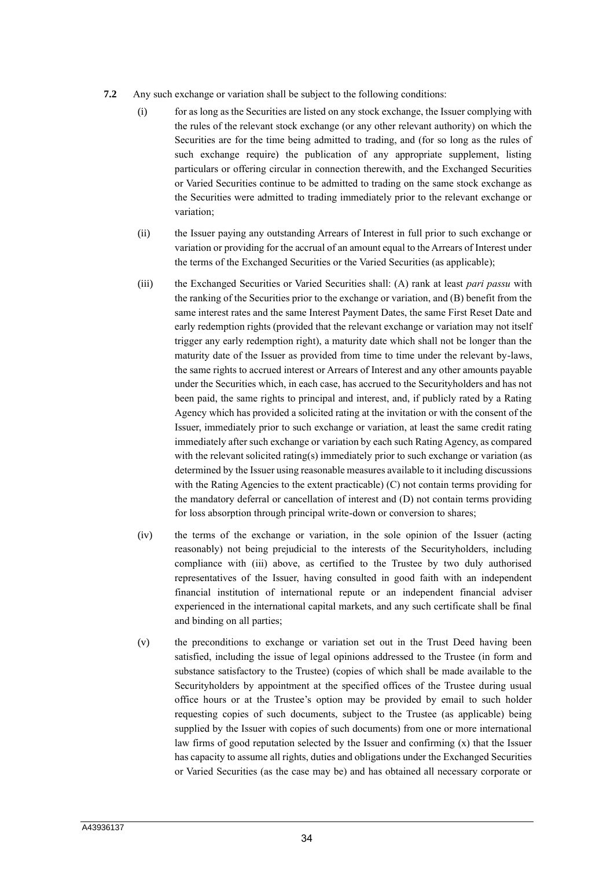- **7.2** Any such exchange or variation shall be subject to the following conditions:
	- (i) for as long as the Securities are listed on any stock exchange, the Issuer complying with the rules of the relevant stock exchange (or any other relevant authority) on which the Securities are for the time being admitted to trading, and (for so long as the rules of such exchange require) the publication of any appropriate supplement, listing particulars or offering circular in connection therewith, and the Exchanged Securities or Varied Securities continue to be admitted to trading on the same stock exchange as the Securities were admitted to trading immediately prior to the relevant exchange or variation;
	- (ii) the Issuer paying any outstanding Arrears of Interest in full prior to such exchange or variation or providing for the accrual of an amount equal to the Arrears of Interest under the terms of the Exchanged Securities or the Varied Securities (as applicable);
	- (iii) the Exchanged Securities or Varied Securities shall: (A) rank at least *pari passu* with the ranking of the Securities prior to the exchange or variation, and (B) benefit from the same interest rates and the same Interest Payment Dates, the same First Reset Date and early redemption rights (provided that the relevant exchange or variation may not itself trigger any early redemption right), a maturity date which shall not be longer than the maturity date of the Issuer as provided from time to time under the relevant by-laws, the same rights to accrued interest or Arrears of Interest and any other amounts payable under the Securities which, in each case, has accrued to the Securityholders and has not been paid, the same rights to principal and interest, and, if publicly rated by a Rating Agency which has provided a solicited rating at the invitation or with the consent of the Issuer, immediately prior to such exchange or variation, at least the same credit rating immediately after such exchange or variation by each such Rating Agency, as compared with the relevant solicited rating(s) immediately prior to such exchange or variation (as determined by the Issuer using reasonable measures available to it including discussions with the Rating Agencies to the extent practicable) (C) not contain terms providing for the mandatory deferral or cancellation of interest and (D) not contain terms providing for loss absorption through principal write-down or conversion to shares;
	- (iv) the terms of the exchange or variation, in the sole opinion of the Issuer (acting reasonably) not being prejudicial to the interests of the Securityholders, including compliance with (iii) above, as certified to the Trustee by two duly authorised representatives of the Issuer, having consulted in good faith with an independent financial institution of international repute or an independent financial adviser experienced in the international capital markets, and any such certificate shall be final and binding on all parties;
	- (v) the preconditions to exchange or variation set out in the Trust Deed having been satisfied, including the issue of legal opinions addressed to the Trustee (in form and substance satisfactory to the Trustee) (copies of which shall be made available to the Securityholders by appointment at the specified offices of the Trustee during usual office hours or at the Trustee's option may be provided by email to such holder requesting copies of such documents, subject to the Trustee (as applicable) being supplied by the Issuer with copies of such documents) from one or more international law firms of good reputation selected by the Issuer and confirming (x) that the Issuer has capacity to assume all rights, duties and obligations under the Exchanged Securities or Varied Securities (as the case may be) and has obtained all necessary corporate or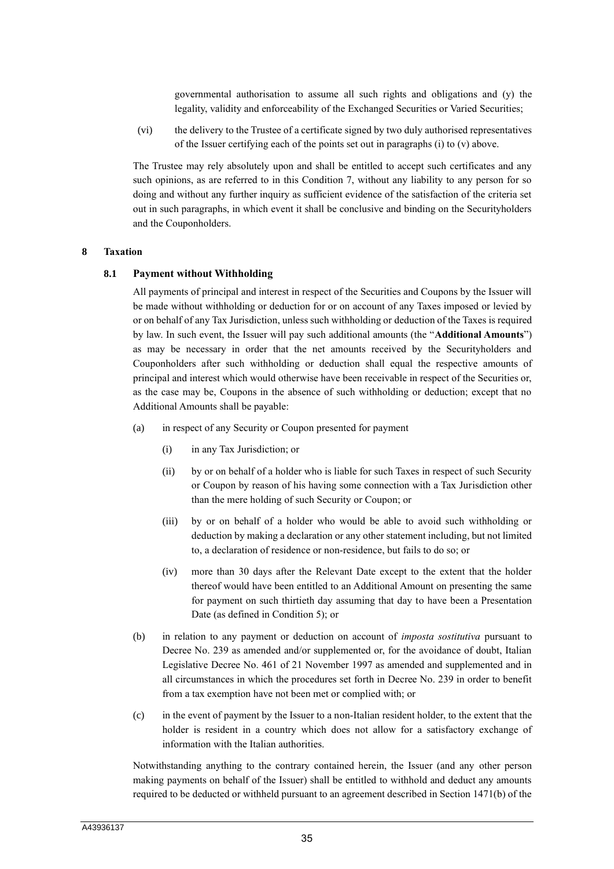governmental authorisation to assume all such rights and obligations and (y) the legality, validity and enforceability of the Exchanged Securities or Varied Securities;

(vi) the delivery to the Trustee of a certificate signed by two duly authorised representatives of the Issuer certifying each of the points set out in paragraphs (i) to (v) above.

The Trustee may rely absolutely upon and shall be entitled to accept such certificates and any such opinions, as are referred to in this Condition 7, without any liability to any person for so doing and without any further inquiry as sufficient evidence of the satisfaction of the criteria set out in such paragraphs, in which event it shall be conclusive and binding on the Securityholders and the Couponholders.

#### **8 Taxation**

#### **8.1 Payment without Withholding**

All payments of principal and interest in respect of the Securities and Coupons by the Issuer will be made without withholding or deduction for or on account of any Taxes imposed or levied by or on behalf of any Tax Jurisdiction, unless such withholding or deduction of the Taxes is required by law. In such event, the Issuer will pay such additional amounts (the "**Additional Amounts**") as may be necessary in order that the net amounts received by the Securityholders and Couponholders after such withholding or deduction shall equal the respective amounts of principal and interest which would otherwise have been receivable in respect of the Securities or, as the case may be, Coupons in the absence of such withholding or deduction; except that no Additional Amounts shall be payable:

- (a) in respect of any Security or Coupon presented for payment
	- (i) in any Tax Jurisdiction; or
	- (ii) by or on behalf of a holder who is liable for such Taxes in respect of such Security or Coupon by reason of his having some connection with a Tax Jurisdiction other than the mere holding of such Security or Coupon; or
	- (iii) by or on behalf of a holder who would be able to avoid such withholding or deduction by making a declaration or any other statement including, but not limited to, a declaration of residence or non-residence, but fails to do so; or
	- (iv) more than 30 days after the Relevant Date except to the extent that the holder thereof would have been entitled to an Additional Amount on presenting the same for payment on such thirtieth day assuming that day to have been a Presentation Date (as defined in Condition 5); or
- (b) in relation to any payment or deduction on account of *imposta sostitutiva* pursuant to Decree No. 239 as amended and/or supplemented or, for the avoidance of doubt, Italian Legislative Decree No. 461 of 21 November 1997 as amended and supplemented and in all circumstances in which the procedures set forth in Decree No. 239 in order to benefit from a tax exemption have not been met or complied with; or
- (c) in the event of payment by the Issuer to a non-Italian resident holder, to the extent that the holder is resident in a country which does not allow for a satisfactory exchange of information with the Italian authorities.

Notwithstanding anything to the contrary contained herein, the Issuer (and any other person making payments on behalf of the Issuer) shall be entitled to withhold and deduct any amounts required to be deducted or withheld pursuant to an agreement described in Section 1471(b) of the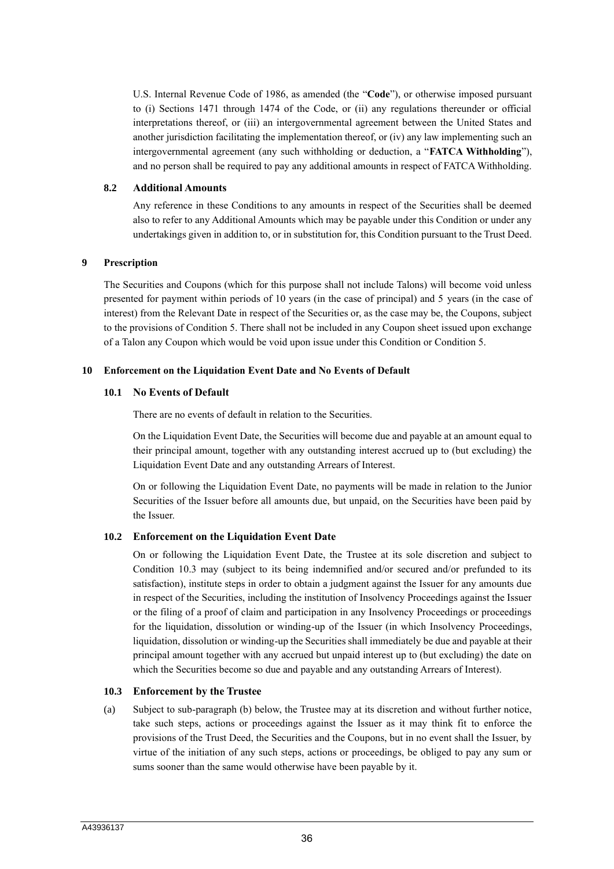U.S. Internal Revenue Code of 1986, as amended (the "**Code**"), or otherwise imposed pursuant to (i) Sections 1471 through 1474 of the Code, or (ii) any regulations thereunder or official interpretations thereof, or (iii) an intergovernmental agreement between the United States and another jurisdiction facilitating the implementation thereof, or (iv) any law implementing such an intergovernmental agreement (any such withholding or deduction, a "**FATCA Withholding**"), and no person shall be required to pay any additional amounts in respect of FATCA Withholding.

#### **8.2 Additional Amounts**

Any reference in these Conditions to any amounts in respect of the Securities shall be deemed also to refer to any Additional Amounts which may be payable under this Condition or under any undertakings given in addition to, or in substitution for, this Condition pursuant to the Trust Deed.

#### **9 Prescription**

The Securities and Coupons (which for this purpose shall not include Talons) will become void unless presented for payment within periods of 10 years (in the case of principal) and 5 years (in the case of interest) from the Relevant Date in respect of the Securities or, as the case may be, the Coupons, subject to the provisions of Condition 5. There shall not be included in any Coupon sheet issued upon exchange of a Talon any Coupon which would be void upon issue under this Condition or Condition 5.

#### **10 Enforcement on the Liquidation Event Date and No Events of Default**

#### **10.1 No Events of Default**

There are no events of default in relation to the Securities.

On the Liquidation Event Date, the Securities will become due and payable at an amount equal to their principal amount, together with any outstanding interest accrued up to (but excluding) the Liquidation Event Date and any outstanding Arrears of Interest.

On or following the Liquidation Event Date, no payments will be made in relation to the Junior Securities of the Issuer before all amounts due, but unpaid, on the Securities have been paid by the Issuer.

# **10.2 Enforcement on the Liquidation Event Date**

On or following the Liquidation Event Date, the Trustee at its sole discretion and subject to Condition 10.3 may (subject to its being indemnified and/or secured and/or prefunded to its satisfaction), institute steps in order to obtain a judgment against the Issuer for any amounts due in respect of the Securities, including the institution of Insolvency Proceedings against the Issuer or the filing of a proof of claim and participation in any Insolvency Proceedings or proceedings for the liquidation, dissolution or winding-up of the Issuer (in which Insolvency Proceedings, liquidation, dissolution or winding-up the Securities shall immediately be due and payable at their principal amount together with any accrued but unpaid interest up to (but excluding) the date on which the Securities become so due and payable and any outstanding Arrears of Interest).

#### **10.3 Enforcement by the Trustee**

(a) Subject to sub-paragraph (b) below, the Trustee may at its discretion and without further notice, take such steps, actions or proceedings against the Issuer as it may think fit to enforce the provisions of the Trust Deed, the Securities and the Coupons, but in no event shall the Issuer, by virtue of the initiation of any such steps, actions or proceedings, be obliged to pay any sum or sums sooner than the same would otherwise have been payable by it.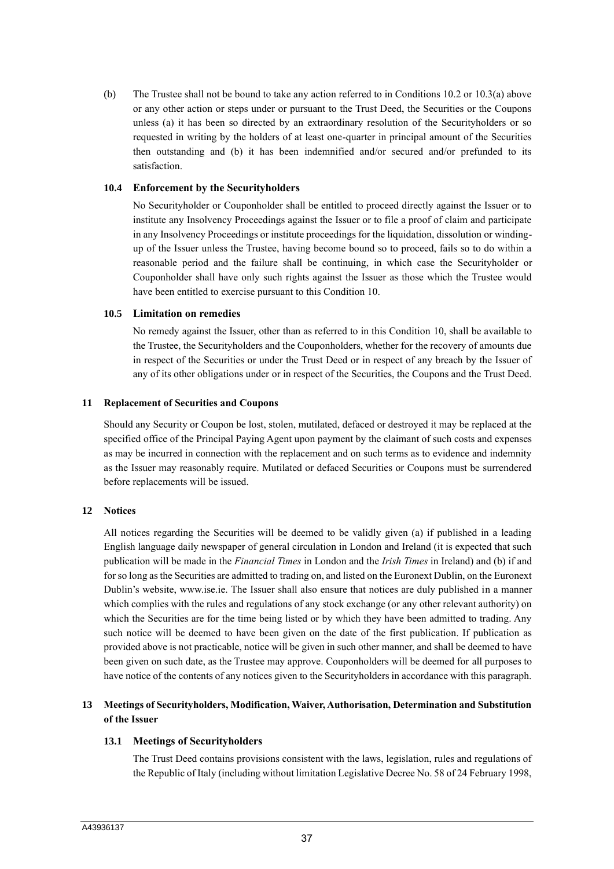(b) The Trustee shall not be bound to take any action referred to in Conditions 10.2 or 10.3(a) above or any other action or steps under or pursuant to the Trust Deed, the Securities or the Coupons unless (a) it has been so directed by an extraordinary resolution of the Securityholders or so requested in writing by the holders of at least one-quarter in principal amount of the Securities then outstanding and (b) it has been indemnified and/or secured and/or prefunded to its satisfaction.

# **10.4 Enforcement by the Securityholders**

No Securityholder or Couponholder shall be entitled to proceed directly against the Issuer or to institute any Insolvency Proceedings against the Issuer or to file a proof of claim and participate in any Insolvency Proceedings or institute proceedings for the liquidation, dissolution or windingup of the Issuer unless the Trustee, having become bound so to proceed, fails so to do within a reasonable period and the failure shall be continuing, in which case the Securityholder or Couponholder shall have only such rights against the Issuer as those which the Trustee would have been entitled to exercise pursuant to this Condition 10.

#### **10.5 Limitation on remedies**

No remedy against the Issuer, other than as referred to in this Condition 10, shall be available to the Trustee, the Securityholders and the Couponholders, whether for the recovery of amounts due in respect of the Securities or under the Trust Deed or in respect of any breach by the Issuer of any of its other obligations under or in respect of the Securities, the Coupons and the Trust Deed.

#### **11 Replacement of Securities and Coupons**

Should any Security or Coupon be lost, stolen, mutilated, defaced or destroyed it may be replaced at the specified office of the Principal Paying Agent upon payment by the claimant of such costs and expenses as may be incurred in connection with the replacement and on such terms as to evidence and indemnity as the Issuer may reasonably require. Mutilated or defaced Securities or Coupons must be surrendered before replacements will be issued.

# **12 Notices**

All notices regarding the Securities will be deemed to be validly given (a) if published in a leading English language daily newspaper of general circulation in London and Ireland (it is expected that such publication will be made in the *Financial Times* in London and the *Irish Times* in Ireland) and (b) if and for so long as the Securities are admitted to trading on, and listed on the Euronext Dublin, on the Euronext Dublin's website, www.ise.ie. The Issuer shall also ensure that notices are duly published in a manner which complies with the rules and regulations of any stock exchange (or any other relevant authority) on which the Securities are for the time being listed or by which they have been admitted to trading. Any such notice will be deemed to have been given on the date of the first publication. If publication as provided above is not practicable, notice will be given in such other manner, and shall be deemed to have been given on such date, as the Trustee may approve. Couponholders will be deemed for all purposes to have notice of the contents of any notices given to the Securityholders in accordance with this paragraph.

# **13 Meetings of Securityholders, Modification, Waiver, Authorisation, Determination and Substitution of the Issuer**

# **13.1 Meetings of Securityholders**

The Trust Deed contains provisions consistent with the laws, legislation, rules and regulations of the Republic of Italy (including without limitation Legislative Decree No. 58 of 24 February 1998,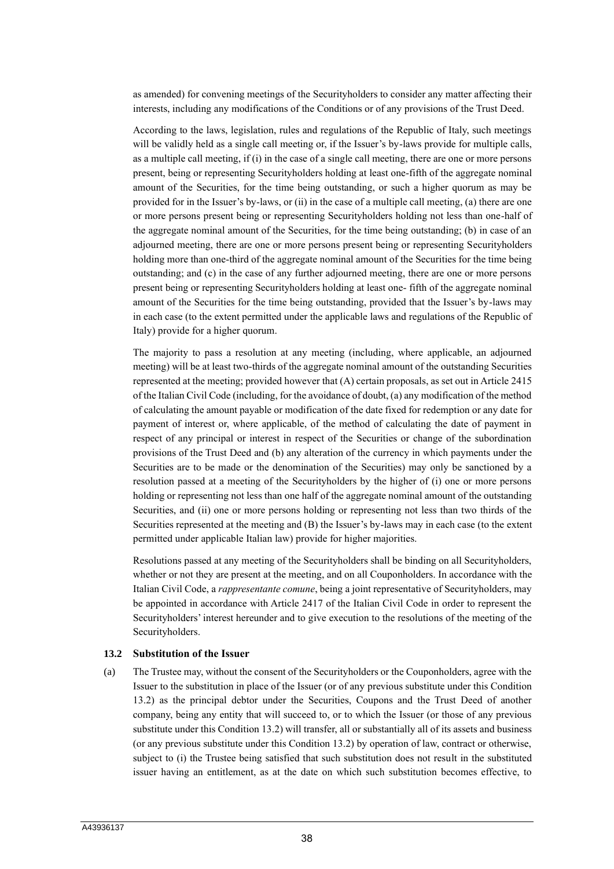as amended) for convening meetings of the Securityholders to consider any matter affecting their interests, including any modifications of the Conditions or of any provisions of the Trust Deed.

According to the laws, legislation, rules and regulations of the Republic of Italy, such meetings will be validly held as a single call meeting or, if the Issuer's by-laws provide for multiple calls, as a multiple call meeting, if (i) in the case of a single call meeting, there are one or more persons present, being or representing Securityholders holding at least one-fifth of the aggregate nominal amount of the Securities, for the time being outstanding, or such a higher quorum as may be provided for in the Issuer's by-laws, or (ii) in the case of a multiple call meeting, (a) there are one or more persons present being or representing Securityholders holding not less than one-half of the aggregate nominal amount of the Securities, for the time being outstanding; (b) in case of an adjourned meeting, there are one or more persons present being or representing Securityholders holding more than one-third of the aggregate nominal amount of the Securities for the time being outstanding; and (c) in the case of any further adjourned meeting, there are one or more persons present being or representing Securityholders holding at least one- fifth of the aggregate nominal amount of the Securities for the time being outstanding, provided that the Issuer's by-laws may in each case (to the extent permitted under the applicable laws and regulations of the Republic of Italy) provide for a higher quorum.

The majority to pass a resolution at any meeting (including, where applicable, an adjourned meeting) will be at least two-thirds of the aggregate nominal amount of the outstanding Securities represented at the meeting; provided however that (A) certain proposals, as set out in Article 2415 of the Italian Civil Code (including, for the avoidance of doubt, (a) any modification of the method of calculating the amount payable or modification of the date fixed for redemption or any date for payment of interest or, where applicable, of the method of calculating the date of payment in respect of any principal or interest in respect of the Securities or change of the subordination provisions of the Trust Deed and (b) any alteration of the currency in which payments under the Securities are to be made or the denomination of the Securities) may only be sanctioned by a resolution passed at a meeting of the Securityholders by the higher of (i) one or more persons holding or representing not less than one half of the aggregate nominal amount of the outstanding Securities, and (ii) one or more persons holding or representing not less than two thirds of the Securities represented at the meeting and (B) the Issuer's by-laws may in each case (to the extent permitted under applicable Italian law) provide for higher majorities.

Resolutions passed at any meeting of the Securityholders shall be binding on all Securityholders, whether or not they are present at the meeting, and on all Couponholders. In accordance with the Italian Civil Code, a *rappresentante comune*, being a joint representative of Securityholders, may be appointed in accordance with Article 2417 of the Italian Civil Code in order to represent the Securityholders' interest hereunder and to give execution to the resolutions of the meeting of the Securityholders.

#### **13.2 Substitution of the Issuer**

(a) The Trustee may, without the consent of the Securityholders or the Couponholders, agree with the Issuer to the substitution in place of the Issuer (or of any previous substitute under this Condition 13.2) as the principal debtor under the Securities, Coupons and the Trust Deed of another company, being any entity that will succeed to, or to which the Issuer (or those of any previous substitute under this Condition 13.2) will transfer, all or substantially all of its assets and business (or any previous substitute under this Condition 13.2) by operation of law, contract or otherwise, subject to (i) the Trustee being satisfied that such substitution does not result in the substituted issuer having an entitlement, as at the date on which such substitution becomes effective, to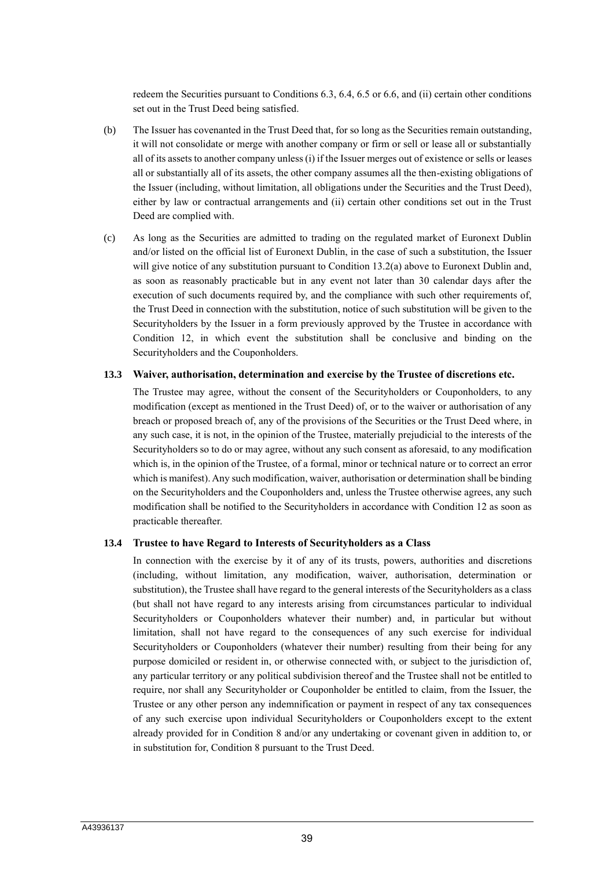redeem the Securities pursuant to Conditions 6.3, 6.4, 6.5 or 6.6, and (ii) certain other conditions set out in the Trust Deed being satisfied.

- (b) The Issuer has covenanted in the Trust Deed that, for so long as the Securities remain outstanding, it will not consolidate or merge with another company or firm or sell or lease all or substantially all of its assets to another company unless (i) if the Issuer merges out of existence or sells or leases all or substantially all of its assets, the other company assumes all the then-existing obligations of the Issuer (including, without limitation, all obligations under the Securities and the Trust Deed), either by law or contractual arrangements and (ii) certain other conditions set out in the Trust Deed are complied with.
- (c) As long as the Securities are admitted to trading on the regulated market of Euronext Dublin and/or listed on the official list of Euronext Dublin, in the case of such a substitution, the Issuer will give notice of any substitution pursuant to Condition 13.2(a) above to Euronext Dublin and, as soon as reasonably practicable but in any event not later than 30 calendar days after the execution of such documents required by, and the compliance with such other requirements of, the Trust Deed in connection with the substitution, notice of such substitution will be given to the Securityholders by the Issuer in a form previously approved by the Trustee in accordance with Condition 12, in which event the substitution shall be conclusive and binding on the Securityholders and the Couponholders.

#### **13.3 Waiver, authorisation, determination and exercise by the Trustee of discretions etc.**

The Trustee may agree, without the consent of the Securityholders or Couponholders, to any modification (except as mentioned in the Trust Deed) of, or to the waiver or authorisation of any breach or proposed breach of, any of the provisions of the Securities or the Trust Deed where, in any such case, it is not, in the opinion of the Trustee, materially prejudicial to the interests of the Securityholders so to do or may agree, without any such consent as aforesaid, to any modification which is, in the opinion of the Trustee, of a formal, minor or technical nature or to correct an error which is manifest). Any such modification, waiver, authorisation or determination shall be binding on the Securityholders and the Couponholders and, unless the Trustee otherwise agrees, any such modification shall be notified to the Securityholders in accordance with Condition 12 as soon as practicable thereafter.

#### **13.4 Trustee to have Regard to Interests of Securityholders as a Class**

In connection with the exercise by it of any of its trusts, powers, authorities and discretions (including, without limitation, any modification, waiver, authorisation, determination or substitution), the Trustee shall have regard to the general interests of the Securityholders as a class (but shall not have regard to any interests arising from circumstances particular to individual Securityholders or Couponholders whatever their number) and, in particular but without limitation, shall not have regard to the consequences of any such exercise for individual Securityholders or Couponholders (whatever their number) resulting from their being for any purpose domiciled or resident in, or otherwise connected with, or subject to the jurisdiction of, any particular territory or any political subdivision thereof and the Trustee shall not be entitled to require, nor shall any Securityholder or Couponholder be entitled to claim, from the Issuer, the Trustee or any other person any indemnification or payment in respect of any tax consequences of any such exercise upon individual Securityholders or Couponholders except to the extent already provided for in Condition 8 and/or any undertaking or covenant given in addition to, or in substitution for, Condition 8 pursuant to the Trust Deed.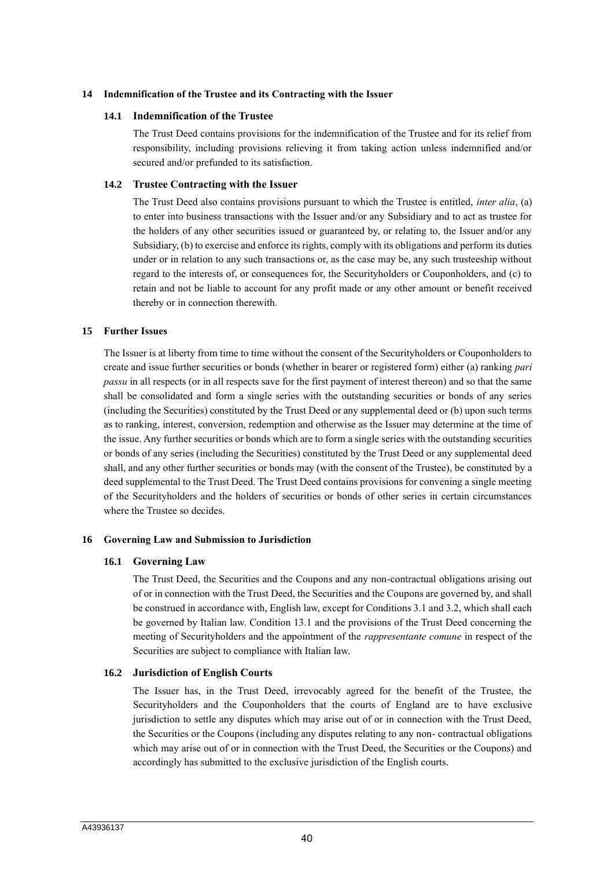#### **14 Indemnification of the Trustee and its Contracting with the Issuer**

#### **14.1 Indemnification of the Trustee**

The Trust Deed contains provisions for the indemnification of the Trustee and for its relief from responsibility, including provisions relieving it from taking action unless indemnified and/or secured and/or prefunded to its satisfaction.

#### **14.2 Trustee Contracting with the Issuer**

The Trust Deed also contains provisions pursuant to which the Trustee is entitled, *inter alia*, (a) to enter into business transactions with the Issuer and/or any Subsidiary and to act as trustee for the holders of any other securities issued or guaranteed by, or relating to, the Issuer and/or any Subsidiary, (b) to exercise and enforce its rights, comply with its obligations and perform its duties under or in relation to any such transactions or, as the case may be, any such trusteeship without regard to the interests of, or consequences for, the Securityholders or Couponholders, and (c) to retain and not be liable to account for any profit made or any other amount or benefit received thereby or in connection therewith.

#### **15 Further Issues**

The Issuer is at liberty from time to time without the consent of the Securityholders or Couponholders to create and issue further securities or bonds (whether in bearer or registered form) either (a) ranking *pari passu* in all respects (or in all respects save for the first payment of interest thereon) and so that the same shall be consolidated and form a single series with the outstanding securities or bonds of any series (including the Securities) constituted by the Trust Deed or any supplemental deed or (b) upon such terms as to ranking, interest, conversion, redemption and otherwise as the Issuer may determine at the time of the issue. Any further securities or bonds which are to form a single series with the outstanding securities or bonds of any series (including the Securities) constituted by the Trust Deed or any supplemental deed shall, and any other further securities or bonds may (with the consent of the Trustee), be constituted by a deed supplemental to the Trust Deed. The Trust Deed contains provisions for convening a single meeting of the Securityholders and the holders of securities or bonds of other series in certain circumstances where the Trustee so decides.

#### **16 Governing Law and Submission to Jurisdiction**

#### **16.1 Governing Law**

The Trust Deed, the Securities and the Coupons and any non-contractual obligations arising out of or in connection with the Trust Deed, the Securities and the Coupons are governed by, and shall be construed in accordance with, English law, except for Conditions 3.1 and 3.2, which shall each be governed by Italian law. Condition 13.1 and the provisions of the Trust Deed concerning the meeting of Securityholders and the appointment of the *rappresentante comune* in respect of the Securities are subject to compliance with Italian law.

#### **16.2 Jurisdiction of English Courts**

The Issuer has, in the Trust Deed, irrevocably agreed for the benefit of the Trustee, the Securityholders and the Couponholders that the courts of England are to have exclusive jurisdiction to settle any disputes which may arise out of or in connection with the Trust Deed, the Securities or the Coupons (including any disputes relating to any non- contractual obligations which may arise out of or in connection with the Trust Deed, the Securities or the Coupons) and accordingly has submitted to the exclusive jurisdiction of the English courts.